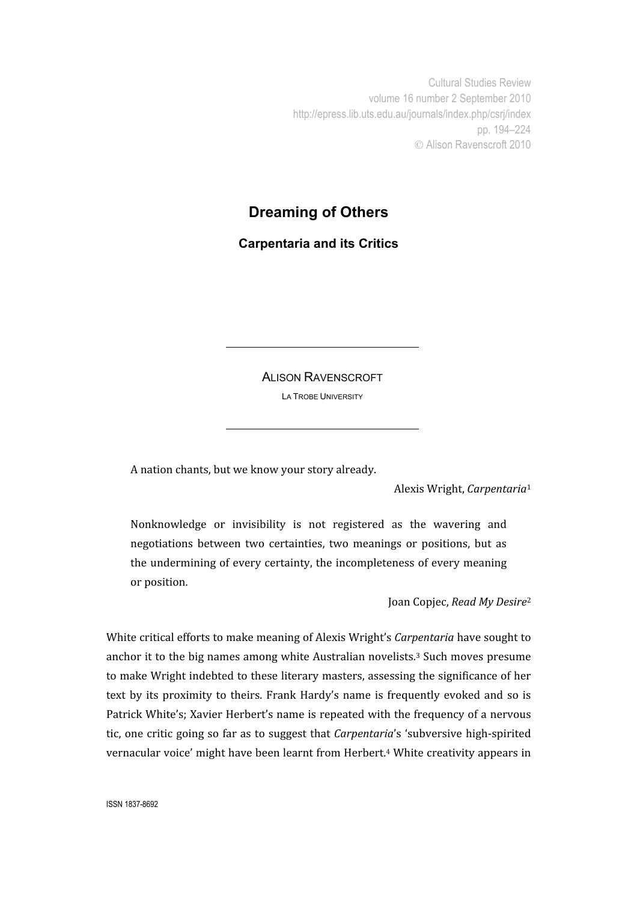Cultural Studies Review volume 16 number 2 September 2010 http://epress.lib.uts.edu.au/journals/index.php/csrj/index pp. 194–224 Alison Ravenscroft 2010

## **Dreaming of Others**

**Carpentaria and its Critics**

ALISON RAVENSCROFT

LA TROBE UNIVERSITY

A nation chants, but we know your story already.

Alexis Wright, *Carpentaria*<sup>1</sup>

Nonknowledge or invisibility is not registered as the wavering and negotiations between two certainties, two meanings or positions, but as the undermining of every certainty, the incompleteness of every meaning or position.

Joan Copjec, *Read My Desire*<sup>2</sup>

White critical efforts to make meaning of Alexis Wright's *Carpentaria* have sought to anchor it to the big names among white Australian novelists.3 Such moves presume to make Wright indebted to these literary masters, assessing the significance of her text by its proximity to theirs. Frank Hardy's name is frequently evoked and so is Patrick White's; Xavier Herbert's name is repeated with the frequency of a nervous tic, one critic going so far as to suggest that *Carpentaria*'s 'subversive high‐spirited vernacular voice' might have been learnt from Herbert. 4 White creativity appears in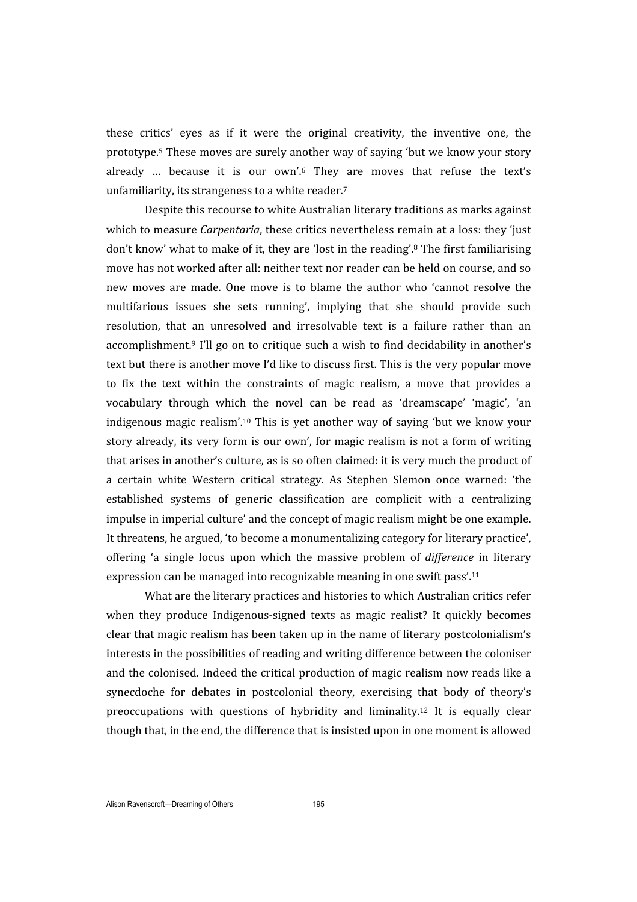these critics' eyes as if it were the original creativity, the inventive one, the prototype.5 These moves are surely another way of saying 'but we know your story already ... because it is our own'.<sup>6</sup> They are moves that refuse the text's unfamiliarity, its strangeness to a white reader.7

Despite this recourse to white Australian literary traditions as marks against which to measure *Carpentaria*, these critics nevertheless remain at a loss: they 'just don't know' what to make of it, they are 'lost in the reading'.8 The first familiarising move has not worked after all: neither text nor reader can be held on course, and so new moves are made. One move is to blame the author who 'cannot resolve the multifarious issues she sets running', implying that she should provide such resolution, that an unresolved and irresolvable text is a failure rather than an accomplishment.<sup>9</sup> I'll go on to critique such a wish to find decidability in another's text but there is another move I'd like to discuss first. This is the very popular move to fix the text within the constraints of magic realism, a move that provides a vocabulary through which the novel can be read as 'dreamscape' 'magic', 'an indigenous magic realism'.10 This is yet another way of saying 'but we know your story already, its very form is our own', for magic realism is not a form of writing that arises in another's culture, as is so often claimed: it is very much the product of a certain white Western critical strategy. As Stephen Slemon once warned: 'the established systems of generic classification are complicit with a centralizing impulse in imperial culture' and the concept of magic realism might be one example. It threatens, he argued, 'to become a monumentalizing category for literary practice', offering 'a single locus upon which the massive problem of *difference* in literary expression can be managed into recognizable meaning in one swift pass'.11

What are the literary practices and histories to which Australian critics refer when they produce Indigenous-signed texts as magic realist? It quickly becomes clear that magic realism has been taken up in the name of literary postcolonialism's interests in the possibilities of reading and writing difference between the coloniser and the colonised. Indeed the critical production of magic realism now reads like a synecdoche for debates in postcolonial theory, exercising that body of theory's preoccupations with questions of hybridity and liminality.12 It is equally clear though that, in the end, the difference that is insisted upon in one moment is allowed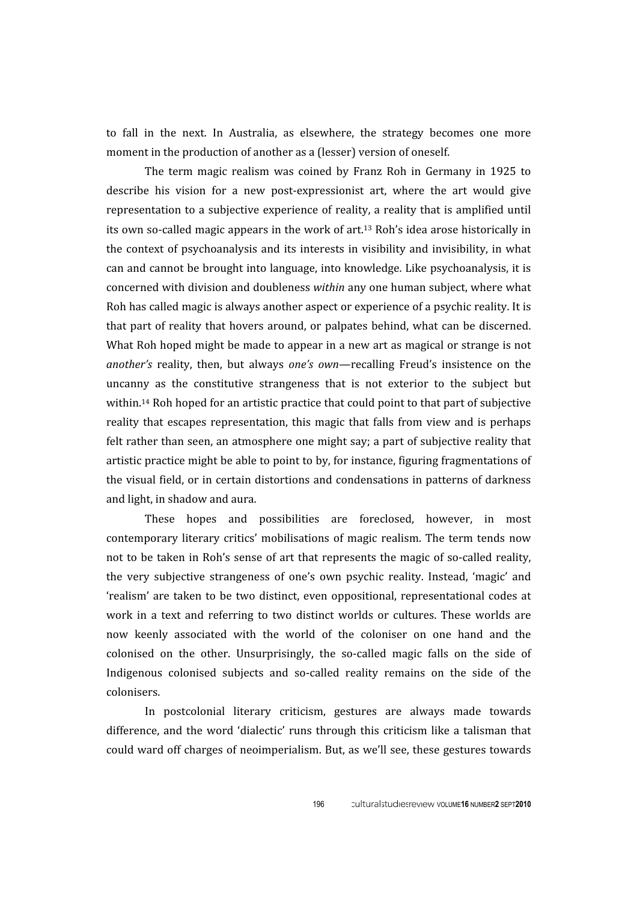to fall in the next. In Australia, as elsewhere, the strategy becomes one more moment in the production of another as a (lesser) version of oneself.

The term magic realism was coined by Franz Roh in Germany in 1925 to describe his vision for a new post-expressionist art, where the art would give representation to a subjective experience of reality, a reality that is amplified until its own so-called magic appears in the work of  $art<sup>13</sup>$  Roh's idea arose historically in the context of psychoanalysis and its interests in visibility and invisibility, in what can and cannot be brought into language, into knowledge. Like psychoanalysis, it is concerned with division and doubleness *within* any one human subject, where what Roh has called magic is always another aspect or experience of a psychic reality. It is that part of reality that hovers around, or palpates behind, what can be discerned. What Roh hoped might be made to appear in a new art as magical or strange is not *another's* reality, then, but always *one's own*—recalling Freud's insistence on the uncanny as the constitutive strangeness that is not exterior to the subject but within.14 Roh hoped for an artistic practice that could point to that part of subjective reality that escapes representation, this magic that falls from view and is perhaps felt rather than seen, an atmosphere one might say; a part of subjective reality that artistic practice might be able to point to by, for instance, figuring fragmentations of the visual field, or in certain distortions and condensations in patterns of darkness and light, in shadow and aura.

These hopes and possibilities are foreclosed, however, in most contemporary literary critics' mobilisations of magic realism. The term tends now not to be taken in Roh's sense of art that represents the magic of so-called reality, the very subjective strangeness of one's own psychic reality. Instead, 'magic' and 'realism' are taken to be two distinct, even oppositional, representational codes at work in a text and referring to two distinct worlds or cultures. These worlds are now keenly associated with the world of the coloniser on one hand and the colonised on the other. Unsurprisingly, the so-called magic falls on the side of Indigenous colonised subjects and so‐called reality remains on the side of the colonisers.

In postcolonial literary criticism, gestures are always made towards difference, and the word 'dialectic' runs through this criticism like a talisman that could ward off charges of neoimperialism. But, as we'll see, these gestures towards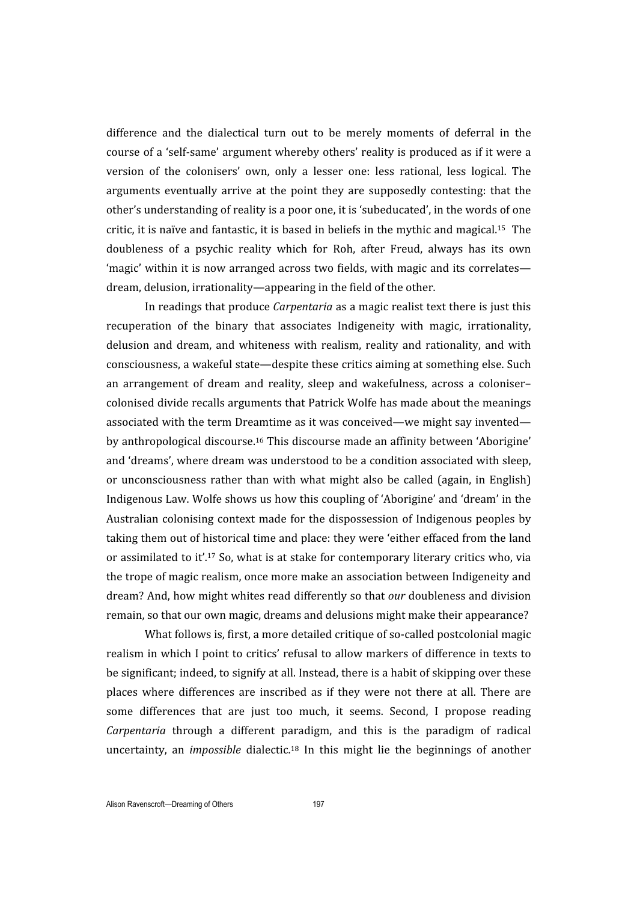difference and the dialectical turn out to be merely moments of deferral in the course of a 'self‐same' argument whereby others' reality is produced as if it were a version of the colonisers' own, only a lesser one: less rational, less logical. The arguments eventually arrive at the point they are supposedly contesting: that the other's understanding of reality is a poor one, it is 'subeducated', in the words of one critic, it is naïve and fantastic, it is based in beliefs in the mythic and magical.15 The doubleness of a psychic reality which for Roh, after Freud, always has its own 'magic' within it is now arranged across two fields, with magic and its correlates dream, delusion, irrationality—appearing in the field of the other.

In readings that produce *Carpentaria* as a magic realist text there is just this recuperation of the binary that associates Indigeneity with magic, irrationality, delusion and dream, and whiteness with realism, reality and rationality, and with consciousness, a wakeful state—despite these critics aiming at something else. Such an arrangement of dream and reality, sleep and wakefulness, across a coloniser– colonised divide recalls arguments that Patrick Wolfe has made about the meanings associated with the term Dreamtime as it was conceived—we might say invented by anthropological discourse.16 This discourse made an affinity between 'Aborigine' and 'dreams', where dream was understood to be a condition associated with sleep, or unconsciousness rather than with what might also be called (again, in English) Indigenous Law. Wolfe shows us how this coupling of 'Aborigine' and 'dream' in the Australian colonising context made for the dispossession of Indigenous peoples by taking them out of historical time and place: they were 'either effaced from the land or assimilated to it'.17 So, what is at stake for contemporary literary critics who, via the trope of magic realism, once more make an association between Indigeneity and dream? And, how might whites read differently so that *our* doubleness and division remain, so that our own magic, dreams and delusions might make their appearance?

What follows is, first, a more detailed critique of so-called postcolonial magic realism in which I point to critics' refusal to allow markers of difference in texts to be significant; indeed, to signify at all. Instead, there is a habit of skipping over these places where differences are inscribed as if they were not there at all. There are some differences that are just too much, it seems. Second, I propose reading *Carpentaria* through a different paradigm, and this is the paradigm of radical uncertainty, an *impossible* dialectic.18 In this might lie the beginnings of another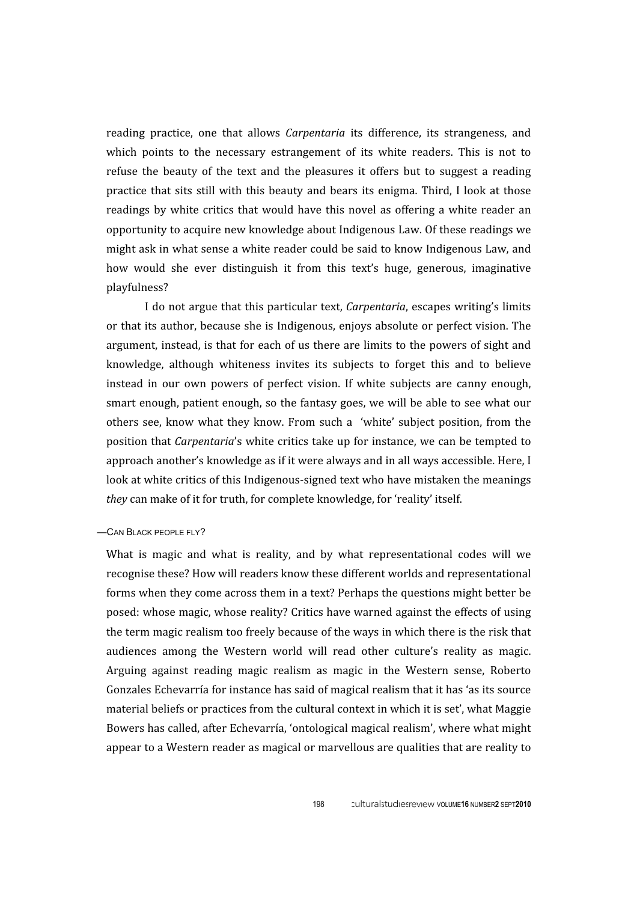reading practice, one that allows *Carpentaria* its difference, its strangeness, and which points to the necessary estrangement of its white readers. This is not to refuse the beauty of the text and the pleasures it offers but to suggest a reading practice that sits still with this beauty and bears its enigma. Third, I look at those readings by white critics that would have this novel as offering a white reader an opportunity to acquire new knowledge about Indigenous Law. Of these readings we might ask in what sense a white reader could be said to know Indigenous Law, and how would she ever distinguish it from this text's huge, generous, imaginative playfulness?

I do not argue that this particular text, *Carpentaria*, escapes writing's limits or that its author, because she is Indigenous, enjoys absolute or perfect vision. The argument, instead, is that for each of us there are limits to the powers of sight and knowledge, although whiteness invites its subjects to forget this and to believe instead in our own powers of perfect vision. If white subjects are canny enough, smart enough, patient enough, so the fantasy goes, we will be able to see what our others see, know what they know. From such a 'white' subject position, from the position that *Carpentaria*'s white critics take up for instance, we can be tempted to approach another's knowledge as if it were always and in all ways accessible. Here, I look at white critics of this Indigenous‐signed text who have mistaken the meanings *they* can make of it for truth, for complete knowledge, for 'reality' itself.

—CAN BLACK PEOPLE FLY?

What is magic and what is reality, and by what representational codes will we recognise these? How will readers know these different worlds and representational forms when they come across them in a text? Perhaps the questions might better be posed: whose magic, whose reality? Critics have warned against the effects of using the term magic realism too freely because of the ways in which there is the risk that audiences among the Western world will read other culture's reality as magic. Arguing against reading magic realism as magic in the Western sense, Roberto Gonzales Echevarría for instance has said of magical realism that it has 'as its source material beliefs or practices from the cultural context in which it is set', what Maggie Bowers has called, after Echevarría, 'ontological magical realism', where what might appear to a Western reader as magical or marvellous are qualities that are reality to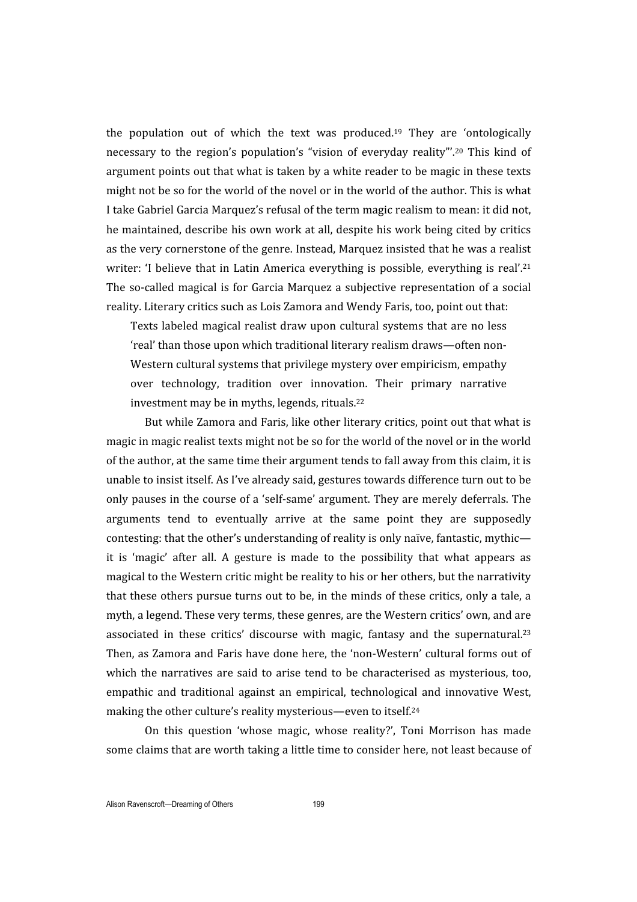the population out of which the text was produced.19 They are 'ontologically necessary to the region's population's "vision of everyday reality".<sup>20</sup> This kind of argument points out that what is taken by a white reader to be magic in these texts might not be so for the world of the novel or in the world of the author. This is what I take Gabriel Garcia Marquez's refusal of the term magic realism to mean: it did not, he maintained, describe his own work at all, despite his work being cited by critics as the very cornerstone of the genre. Instead, Marquez insisted that he was a realist writer: 'I believe that in Latin America everything is possible, everything is real'.<sup>21</sup> The so-called magical is for Garcia Marquez a subjective representation of a social reality. Literary critics such as Lois Zamora and Wendy Faris, too, point out that:

Texts labeled magical realist draw upon cultural systems that are no less 'real' than those upon which traditional literary realism draws—often non‐ Western cultural systems that privilege mystery over empiricism, empathy over technology, tradition over innovation. Their primary narrative investment may be in myths, legends, rituals.22

But while Zamora and Faris, like other literary critics, point out that what is magic in magic realist texts might not be so for the world of the novel or in the world of the author, at the same time their argument tends to fall away from this claim, it is unable to insist itself. As I've already said, gestures towards difference turn out to be only pauses in the course of a 'self‐same' argument. They are merely deferrals. The arguments tend to eventually arrive at the same point they are supposedly contesting: that the other's understanding of reality is only naïve, fantastic, mythic it is 'magic' after all. A gesture is made to the possibility that what appears as magical to the Western critic might be reality to his or her others, but the narrativity that these others pursue turns out to be, in the minds of these critics, only a tale, a myth, a legend. These very terms, these genres, are the Western critics' own, and are associated in these critics' discourse with magic, fantasy and the supernatural.<sup>23</sup> Then, as Zamora and Faris have done here, the 'non‐Western' cultural forms out of which the narratives are said to arise tend to be characterised as mysterious, too, empathic and traditional against an empirical, technological and innovative West, making the other culture's reality mysterious—even to itself.24

On this question 'whose magic, whose reality?', Toni Morrison has made some claims that are worth taking a little time to consider here, not least because of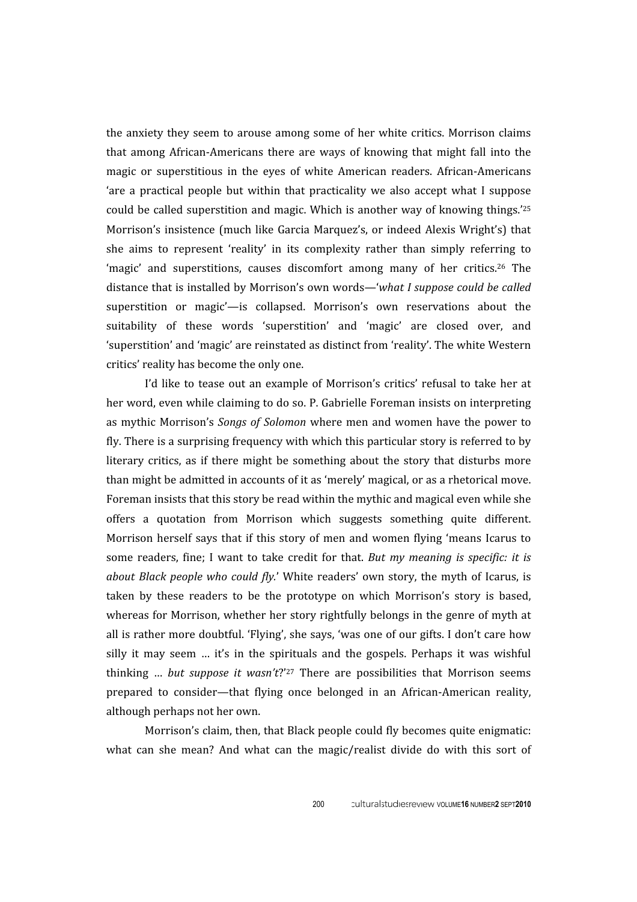the anxiety they seem to arouse among some of her white critics. Morrison claims that among African‐Americans there are ways of knowing that might fall into the magic or superstitious in the eyes of white American readers. African-Americans 'are a practical people but within that practicality we also accept what I suppose could be called superstition and magic. Which is another way of knowing things.'25 Morrison's insistence (much like Garcia Marquez's, or indeed Alexis Wright's) that she aims to represent 'reality' in its complexity rather than simply referring to 'magic' and superstitions, causes discomfort among many of her critics.<sup>26</sup> The distance that is installed by Morrison's own words—'*what I suppose could be called* superstition or magic'—is collapsed. Morrison's own reservations about the suitability of these words 'superstition' and 'magic' are closed over, and 'superstition' and 'magic' are reinstated as distinct from 'reality'. The white Western critics' reality has become the only one.

I'd like to tease out an example of Morrison's critics' refusal to take her at her word, even while claiming to do so. P. Gabrielle Foreman insists on interpreting as mythic Morrison's *Songs of Solomon* where men and women have the power to fly. There is a surprising frequency with which this particular story is referred to by literary critics, as if there might be something about the story that disturbs more than might be admitted in accounts of it as 'merely' magical, or as a rhetorical move. Foreman insists that this story be read within the mythic and magical even while she offers a quotation from Morrison which suggests something quite different. Morrison herself says that if this story of men and women flying 'means Icarus to some readers, fine; I want to take credit for that. *But my meaning is specific: it is about Black people who could fly.'* White readers' own story, the myth of Icarus, is taken by these readers to be the prototype on which Morrison's story is based, whereas for Morrison, whether her story rightfully belongs in the genre of myth at all is rather more doubtful. 'Flying', she says, 'was one of our gifts. I don't care how silly it may seem ... it's in the spirituals and the gospels. Perhaps it was wishful thinking … *but suppose it wasn't*?'27 There are possibilities that Morrison seems prepared to consider—that flying once belonged in an African‐American reality, although perhaps not her own.

Morrison's claim, then, that Black people could fly becomes quite enigmatic: what can she mean? And what can the magic/realist divide do with this sort of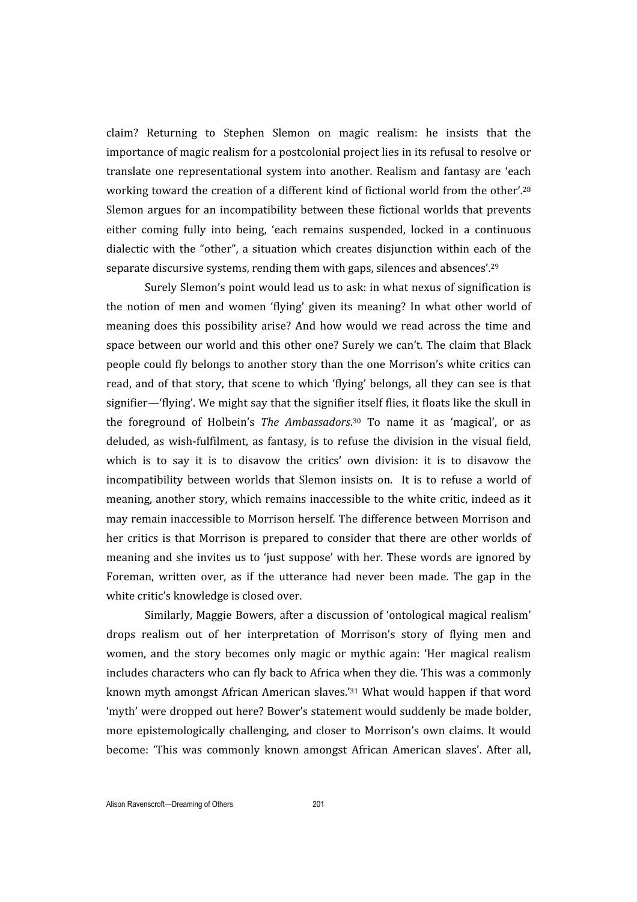claim? Returning to Stephen Slemon on magic realism: he insists that the importance of magic realism for a postcolonial project lies in its refusal to resolve or translate one representational system into another. Realism and fantasy are 'each working toward the creation of a different kind of fictional world from the other'.28 Slemon argues for an incompatibility between these fictional worlds that prevents either coming fully into being, 'each remains suspended, locked in a continuous dialectic with the "other", a situation which creates disjunction within each of the separate discursive systems, rending them with gaps, silences and absences'.<sup>29</sup>

Surely Slemon's point would lead us to ask: in what nexus of signification is the notion of men and women 'flying' given its meaning? In what other world of meaning does this possibility arise? And how would we read across the time and space between our world and this other one? Surely we can't. The claim that Black people could fly belongs to another story than the one Morrison's white critics can read, and of that story, that scene to which 'flying' belongs, all they can see is that signifier—'flying'. We might say that the signifier itself flies, it floats like the skull in the foreground of Holbein's *The Ambassadors*. 30 To name it as 'magical', or as deluded, as wish‐fulfilment, as fantasy, is to refuse the division in the visual field, which is to say it is to disavow the critics' own division: it is to disavow the incompatibility between worlds that Slemon insists on. It is to refuse a world of meaning, another story, which remains inaccessible to the white critic, indeed as it may remain inaccessible to Morrison herself. The difference between Morrison and her critics is that Morrison is prepared to consider that there are other worlds of meaning and she invites us to 'just suppose' with her. These words are ignored by Foreman, written over, as if the utterance had never been made. The gap in the white critic's knowledge is closed over.

Similarly, Maggie Bowers, after a discussion of 'ontological magical realism' drops realism out of her interpretation of Morrison's story of flying men and women, and the story becomes only magic or mythic again: 'Her magical realism includes characters who can fly back to Africa when they die. This was a commonly known myth amongst African American slaves.'31 What would happen if that word 'myth' were dropped out here? Bower's statement would suddenly be made bolder, more epistemologically challenging, and closer to Morrison's own claims. It would become: 'This was commonly known amongst African American slaves'. After all,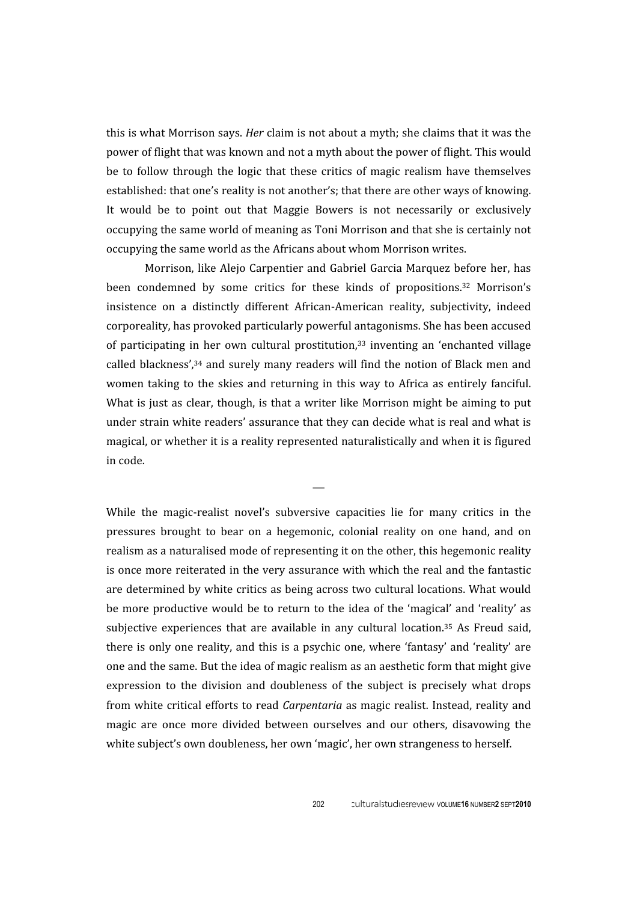this is what Morrison says. *Her* claim is not about a myth; she claims that it was the power of flight that was known and not a myth about the power of flight. This would be to follow through the logic that these critics of magic realism have themselves established: that one's reality is not another's; that there are other ways of knowing. It would be to point out that Maggie Bowers is not necessarily or exclusively occupying the same world of meaning as Toni Morrison and that she is certainly not occupying the same world as the Africans about whom Morrison writes.

Morrison, like Alejo Carpentier and Gabriel Garcia Marquez before her, has been condemned by some critics for these kinds of propositions.<sup>32</sup> Morrison's insistence on a distinctly different African-American reality, subjectivity, indeed corporeality, has provoked particularly powerful antagonisms. She has been accused of participating in her own cultural prostitution,<sup>33</sup> inventing an 'enchanted village called blackness',<sup>34</sup> and surely many readers will find the notion of Black men and women taking to the skies and returning in this way to Africa as entirely fanciful. What is just as clear, though, is that a writer like Morrison might be aiming to put under strain white readers' assurance that they can decide what is real and what is magical, or whether it is a reality represented naturalistically and when it is figured in code.

—

While the magic-realist novel's subversive capacities lie for many critics in the pressures brought to bear on a hegemonic, colonial reality on one hand, and on realism as a naturalised mode of representing it on the other, this hegemonic reality is once more reiterated in the very assurance with which the real and the fantastic are determined by white critics as being across two cultural locations. What would be more productive would be to return to the idea of the 'magical' and 'reality' as subjective experiences that are available in any cultural location.<sup>35</sup> As Freud said, there is only one reality, and this is a psychic one, where 'fantasy' and 'reality' are one and the same. But the idea of magic realism as an aesthetic form that might give expression to the division and doubleness of the subject is precisely what drops from white critical efforts to read *Carpentaria* as magic realist. Instead, reality and magic are once more divided between ourselves and our others, disavowing the white subject's own doubleness, her own 'magic', her own strangeness to herself.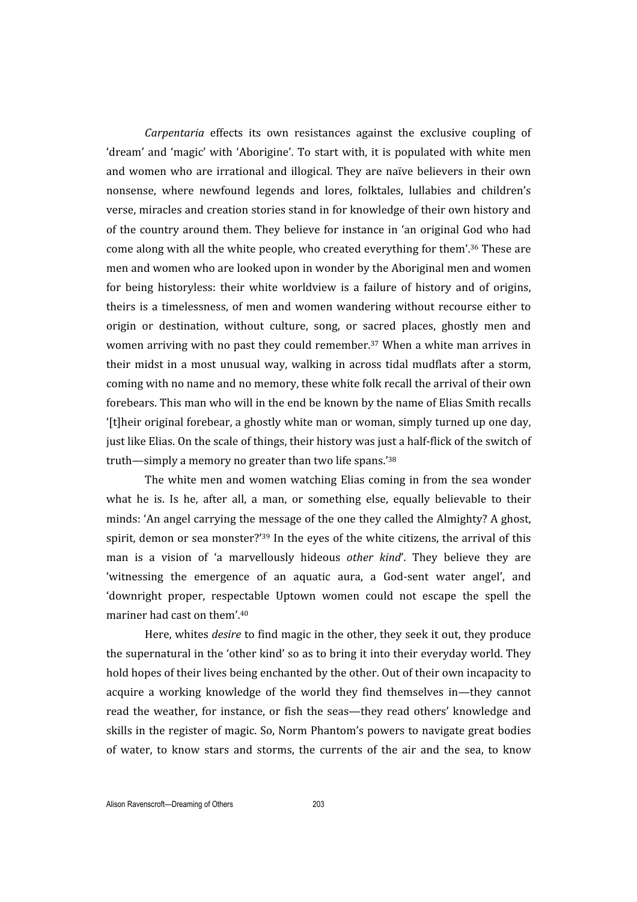*Carpentaria* effects its own resistances against the exclusive coupling of 'dream' and 'magic' with 'Aborigine'. To start with, it is populated with white men and women who are irrational and illogical. They are naïve believers in their own nonsense, where newfound legends and lores, folktales, lullabies and children's verse, miracles and creation stories stand in for knowledge of their own history and of the country around them. They believe for instance in 'an original God who had come along with all the white people, who created everything for them'.36 These are men and women who are looked upon in wonder by the Aboriginal men and women for being historyless: their white worldview is a failure of history and of origins, theirs is a timelessness, of men and women wandering without recourse either to origin or destination, without culture, song, or sacred places, ghostly men and women arriving with no past they could remember.37 When a white man arrives in their midst in a most unusual way, walking in across tidal mudflats after a storm, coming with no name and no memory, these white folk recall the arrival of their own forebears. This man who will in the end be known by the name of Elias Smith recalls '[t]heir original forebear, a ghostly white man or woman, simply turned up one day, just like Elias. On the scale of things, their history was just a half‐flick of the switch of truth—simply a memory no greater than two life spans.'38

The white men and women watching Elias coming in from the sea wonder what he is. Is he, after all, a man, or something else, equally believable to their minds: 'An angel carrying the message of the one they called the Almighty? A ghost, spirit, demon or sea monster?'<sup>39</sup> In the eyes of the white citizens, the arrival of this man is a vision of 'a marvellously hideous *other kind*'. They believe they are 'witnessing the emergence of an aquatic aura, a God‐sent water angel', and 'downright proper, respectable Uptown women could not escape the spell the mariner had cast on them'.40

Here, whites *desire* to find magic in the other, they seek it out, they produce the supernatural in the 'other kind' so as to bring it into their everyday world. They hold hopes of their lives being enchanted by the other. Out of their own incapacity to acquire a working knowledge of the world they find themselves in—they cannot read the weather, for instance, or fish the seas—they read others' knowledge and skills in the register of magic. So, Norm Phantom's powers to navigate great bodies of water, to know stars and storms, the currents of the air and the sea, to know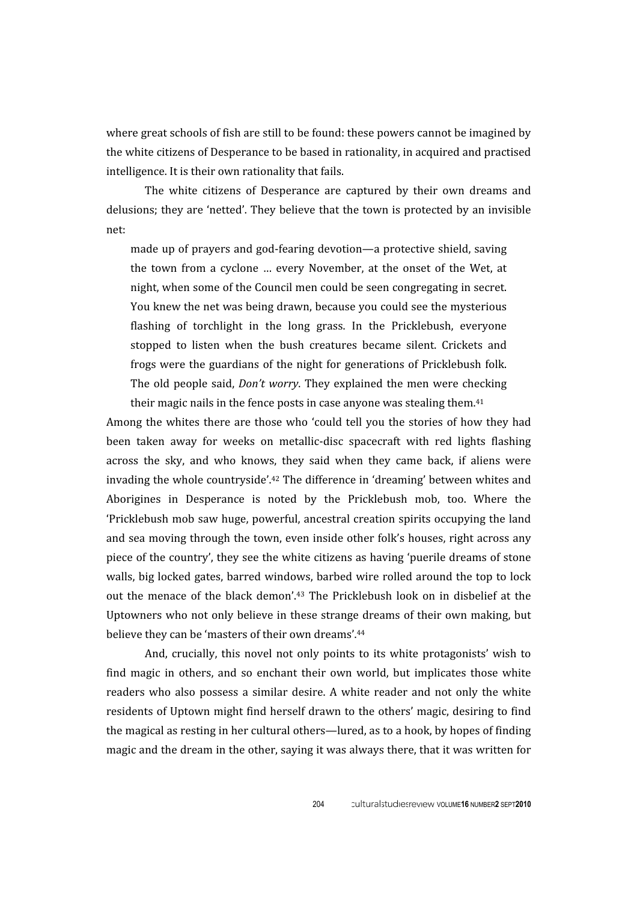where great schools of fish are still to be found: these powers cannot be imagined by the white citizens of Desperance to be based in rationality, in acquired and practised intelligence. It is their own rationality that fails.

The white citizens of Desperance are captured by their own dreams and delusions; they are 'netted'. They believe that the town is protected by an invisible net:

made up of prayers and god‐fearing devotion—a protective shield, saving the town from a cyclone ... every November, at the onset of the Wet, at night, when some of the Council men could be seen congregating in secret. You knew the net was being drawn, because you could see the mysterious flashing of torchlight in the long grass. In the Pricklebush, everyone stopped to listen when the bush creatures became silent. Crickets and frogs were the guardians of the night for generations of Pricklebush folk. The old people said, *Don't worry*. They explained the men were checking their magic nails in the fence posts in case anyone was stealing them.<sup>41</sup>

Among the whites there are those who 'could tell you the stories of how they had been taken away for weeks on metallic-disc spacecraft with red lights flashing across the sky, and who knows, they said when they came back, if aliens were invading the whole countryside'.42 The difference in 'dreaming' between whites and Aborigines in Desperance is noted by the Pricklebush mob, too. Where the 'Pricklebush mob saw huge, powerful, ancestral creation spirits occupying the land and sea moving through the town, even inside other folk's houses, right across any piece of the country', they see the white citizens as having 'puerile dreams of stone walls, big locked gates, barred windows, barbed wire rolled around the top to lock out the menace of the black demon'.43 The Pricklebush look on in disbelief at the Uptowners who not only believe in these strange dreams of their own making, but believe they can be 'masters of their own dreams'.44

And, crucially, this novel not only points to its white protagonists' wish to find magic in others, and so enchant their own world, but implicates those white readers who also possess a similar desire. A white reader and not only the white residents of Uptown might find herself drawn to the others' magic, desiring to find the magical as resting in her cultural others—lured, as to a hook, by hopes of finding magic and the dream in the other, saying it was always there, that it was written for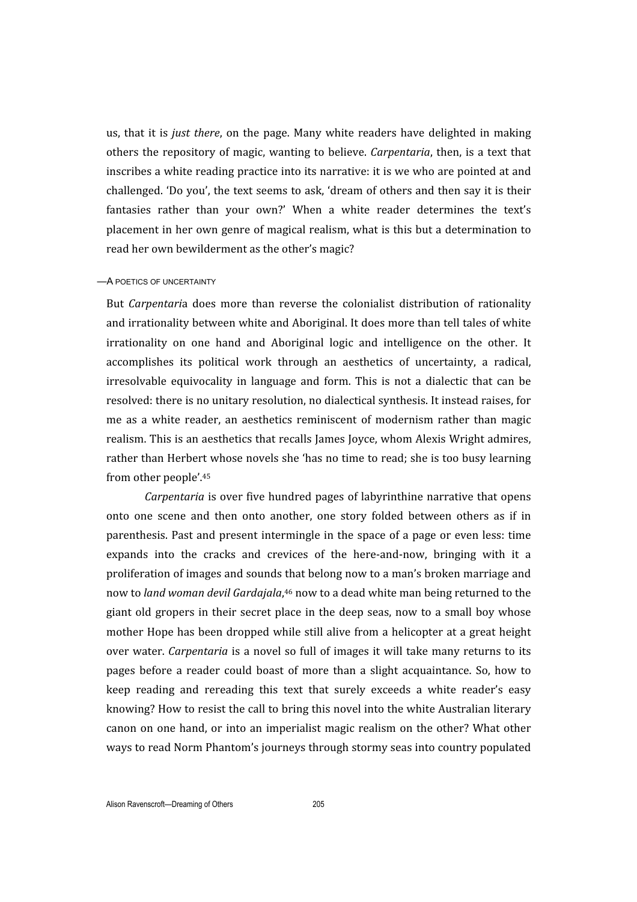us, that it is *just there*, on the page. Many white readers have delighted in making others the repository of magic, wanting to believe. *Carpentaria*, then, is a text that inscribes a white reading practice into its narrative: it is we who are pointed at and challenged. 'Do you', the text seems to ask, 'dream of others and then say it is their fantasies rather than your own?' When a white reader determines the text's placement in her own genre of magical realism, what is this but a determination to read her own bewilderment as the other's magic?

## —A POETICS OF UNCERTAINTY

But *Carpentari*a does more than reverse the colonialist distribution of rationality and irrationality between white and Aboriginal. It does more than tell tales of white irrationality on one hand and Aboriginal logic and intelligence on the other. It accomplishes its political work through an aesthetics of uncertainty, a radical, irresolvable equivocality in language and form. This is not a dialectic that can be resolved: there is no unitary resolution, no dialectical synthesis. It instead raises, for me as a white reader, an aesthetics reminiscent of modernism rather than magic realism. This is an aesthetics that recalls James Joyce, whom Alexis Wright admires, rather than Herbert whose novels she 'has no time to read; she is too busy learning from other people'.45

*Carpentaria* is over five hundred pages of labyrinthine narrative that opens onto one scene and then onto another, one story folded between others as if in parenthesis. Past and present intermingle in the space of a page or even less: time expands into the cracks and crevices of the here-and-now, bringing with it a proliferation of images and sounds that belong now to a man's broken marriage and now to *land woman devil Gardajala*, 46 now to a dead white man being returned to the giant old gropers in their secret place in the deep seas, now to a small boy whose mother Hope has been dropped while still alive from a helicopter at a great height over water. *Carpentaria* is a novel so full of images it will take many returns to its pages before a reader could boast of more than a slight acquaintance. So, how to keep reading and rereading this text that surely exceeds a white reader's easy knowing? How to resist the call to bring this novel into the white Australian literary canon on one hand, or into an imperialist magic realism on the other? What other ways to read Norm Phantom's journeys through stormy seas into country populated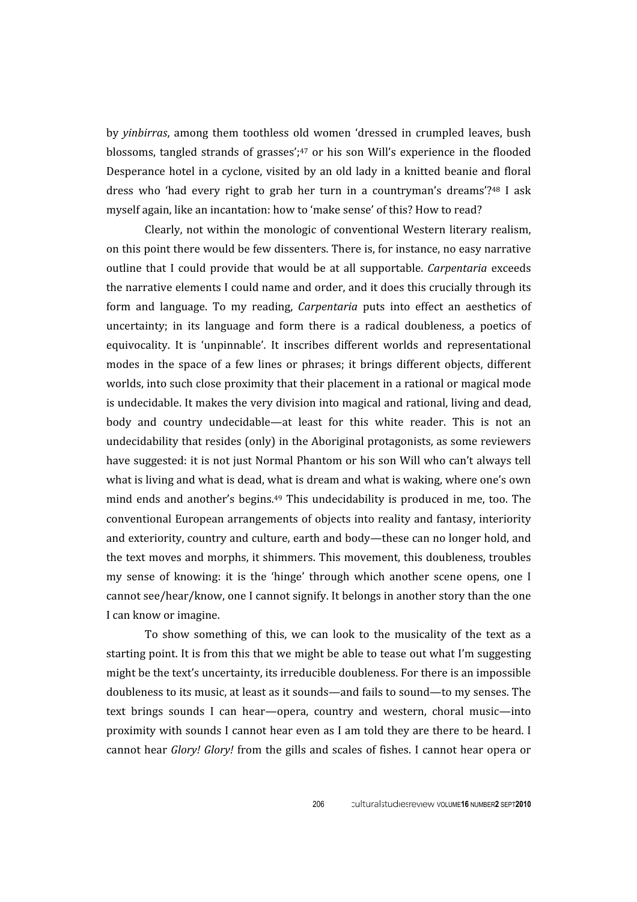by *yinbirras*, among them toothless old women 'dressed in crumpled leaves, bush blossoms, tangled strands of grasses';<sup>47</sup> or his son Will's experience in the flooded Desperance hotel in a cyclone, visited by an old lady in a knitted beanie and floral dress who 'had every right to grab her turn in a countryman's dreams'?48 I ask myself again, like an incantation: how to 'make sense' of this? How to read?

Clearly, not within the monologic of conventional Western literary realism, on this point there would be few dissenters. There is, for instance, no easy narrative outline that I could provide that would be at all supportable. *Carpentaria* exceeds the narrative elements I could name and order, and it does this crucially through its form and language. To my reading, *Carpentaria* puts into effect an aesthetics of uncertainty; in its language and form there is a radical doubleness, a poetics of equivocality. It is 'unpinnable'. It inscribes different worlds and representational modes in the space of a few lines or phrases; it brings different objects, different worlds, into such close proximity that their placement in a rational or magical mode is undecidable. It makes the very division into magical and rational, living and dead, body and country undecidable—at least for this white reader. This is not an undecidability that resides (only) in the Aboriginal protagonists, as some reviewers have suggested: it is not just Normal Phantom or his son Will who can't always tell what is living and what is dead, what is dream and what is waking, where one's own mind ends and another's begins.49 This undecidability is produced in me, too. The conventional European arrangements of objects into reality and fantasy, interiority and exteriority, country and culture, earth and body—these can no longer hold, and the text moves and morphs, it shimmers. This movement, this doubleness, troubles my sense of knowing: it is the 'hinge' through which another scene opens, one I cannot see/hear/know, one I cannot signify. It belongs in another story than the one I can know or imagine.

To show something of this, we can look to the musicality of the text as a starting point. It is from this that we might be able to tease out what I'm suggesting might be the text's uncertainty, its irreducible doubleness. For there is an impossible doubleness to its music, at least as it sounds—and fails to sound—to my senses. The text brings sounds I can hear—opera, country and western, choral music—into proximity with sounds I cannot hear even as I am told they are there to be heard. I cannot hear *Glory! Glory!* from the gills and scales of fishes. I cannot hear opera or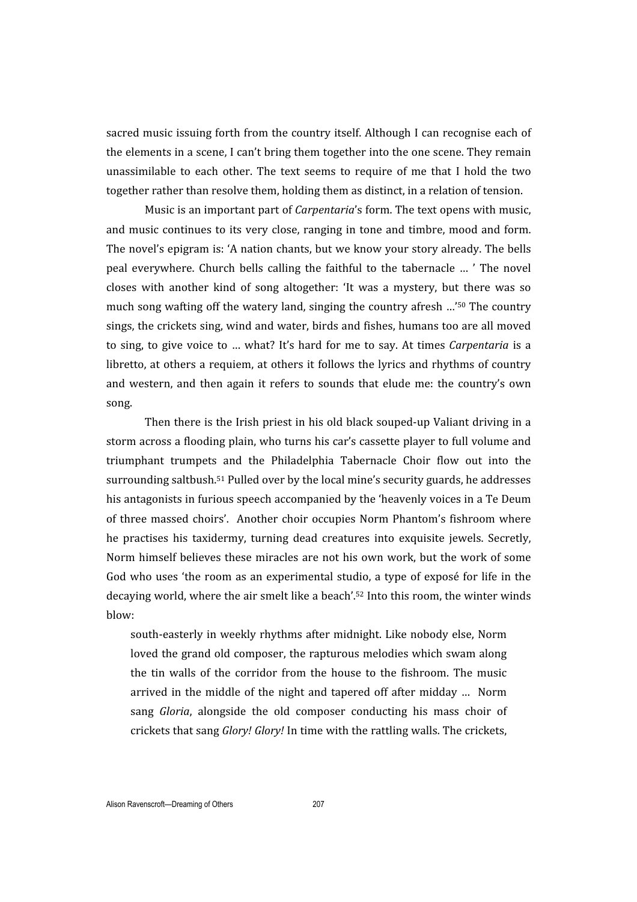sacred music issuing forth from the country itself. Although I can recognise each of the elements in a scene, I can't bring them together into the one scene. They remain unassimilable to each other. The text seems to require of me that I hold the two together rather than resolve them, holding them as distinct, in a relation of tension.

Music is an important part of *Carpentaria*'s form. The text opens with music, and music continues to its very close, ranging in tone and timbre, mood and form. The novel's epigram is: 'A nation chants, but we know your story already. The bells peal everywhere. Church bells calling the faithful to the tabernacle … ' The novel closes with another kind of song altogether: 'It was a mystery, but there was so much song wafting off the watery land, singing the country afresh …'50 The country sings, the crickets sing, wind and water, birds and fishes, humans too are all moved to sing, to give voice to … what? It's hard for me to say. At times *Carpentaria* is a libretto, at others a requiem, at others it follows the lyrics and rhythms of country and western, and then again it refers to sounds that elude me: the country's own song.

Then there is the Irish priest in his old black souped‐up Valiant driving in a storm across a flooding plain, who turns his car's cassette player to full volume and triumphant trumpets and the Philadelphia Tabernacle Choir flow out into the surrounding saltbush.51 Pulled over by the local mine's security guards, he addresses his antagonists in furious speech accompanied by the 'heavenly voices in a Te Deum of three massed choirs'. Another choir occupies Norm Phantom's fishroom where he practises his taxidermy, turning dead creatures into exquisite jewels. Secretly, Norm himself believes these miracles are not his own work, but the work of some God who uses 'the room as an experimental studio, a type of exposé for life in the decaying world, where the air smelt like a beach'.52 Into this room, the winter winds blow:

south-easterly in weekly rhythms after midnight. Like nobody else, Norm loved the grand old composer, the rapturous melodies which swam along the tin walls of the corridor from the house to the fishroom. The music arrived in the middle of the night and tapered off after midday … Norm sang *Gloria*, alongside the old composer conducting his mass choir of crickets that sang *Glory! Glory!* In time with the rattling walls. The crickets,

Alison Ravenscroft—Dreaming of Others 207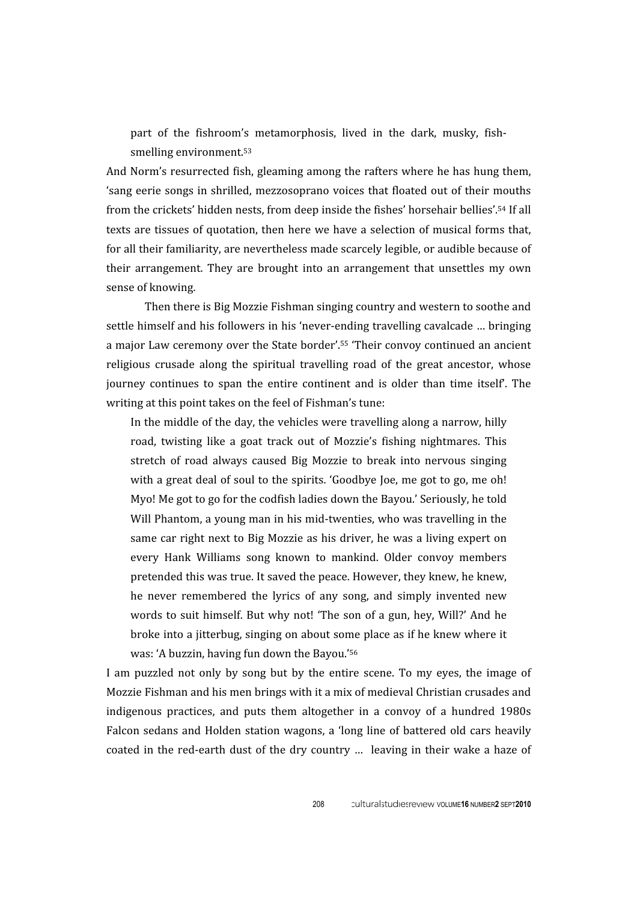part of the fishroom's metamorphosis, lived in the dark, musky, fishsmelling environment.53

And Norm's resurrected fish, gleaming among the rafters where he has hung them, 'sang eerie songs in shrilled, mezzosoprano voices that floated out of their mouths from the crickets' hidden nests, from deep inside the fishes' horsehair bellies'.54 If all texts are tissues of quotation, then here we have a selection of musical forms that, for all their familiarity, are nevertheless made scarcely legible, or audible because of their arrangement. They are brought into an arrangement that unsettles my own sense of knowing.

Then there is Big Mozzie Fishman singing country and western to soothe and settle himself and his followers in his 'never‐ending travelling cavalcade … bringing a major Law ceremony over the State border'.55 'Their convoy continued an ancient religious crusade along the spiritual travelling road of the great ancestor, whose journey continues to span the entire continent and is older than time itself'. The writing at this point takes on the feel of Fishman's tune:

In the middle of the day, the vehicles were travelling along a narrow, hilly road, twisting like a goat track out of Mozzie's fishing nightmares. This stretch of road always caused Big Mozzie to break into nervous singing with a great deal of soul to the spirits. 'Goodbye Joe, me got to go, me oh! Myo! Me got to go for the codfish ladies down the Bayou.' Seriously, he told Will Phantom, a young man in his mid-twenties, who was travelling in the same car right next to Big Mozzie as his driver, he was a living expert on every Hank Williams song known to mankind. Older convoy members pretended this was true. It saved the peace. However, they knew, he knew, he never remembered the lyrics of any song, and simply invented new words to suit himself. But why not! 'The son of a gun, hey, Will?' And he broke into a jitterbug, singing on about some place as if he knew where it was: 'A buzzin, having fun down the Bayou.'56

I am puzzled not only by song but by the entire scene. To my eyes, the image of Mozzie Fishman and his men brings with it a mix of medieval Christian crusades and indigenous practices, and puts them altogether in a convoy of a hundred 1980s Falcon sedans and Holden station wagons, a 'long line of battered old cars heavily coated in the red-earth dust of the dry country ... leaving in their wake a haze of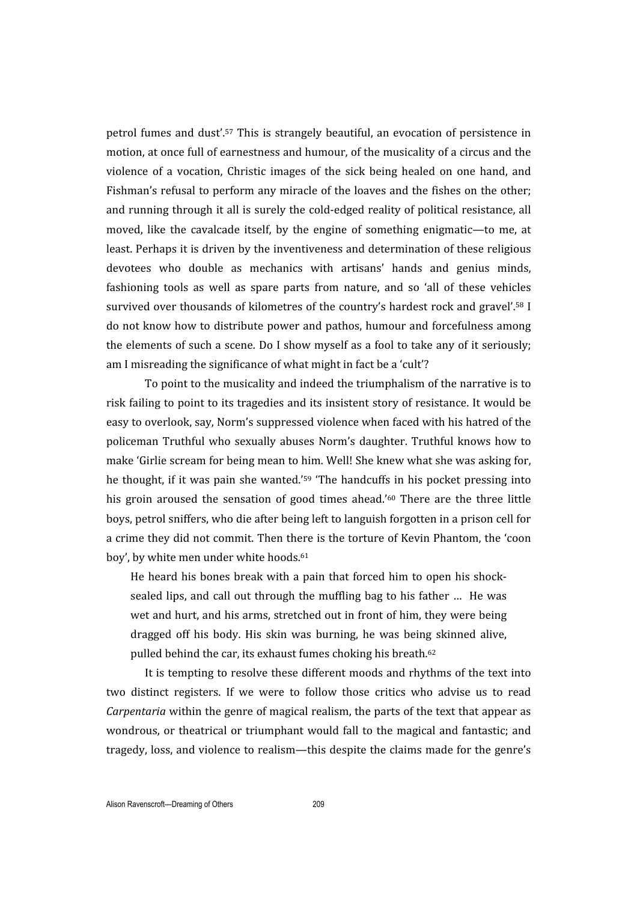petrol fumes and dust'.57 This is strangely beautiful, an evocation of persistence in motion, at once full of earnestness and humour, of the musicality of a circus and the violence of a vocation, Christic images of the sick being healed on one hand, and Fishman's refusal to perform any miracle of the loaves and the fishes on the other; and running through it all is surely the cold‐edged reality of political resistance, all moved, like the cavalcade itself, by the engine of something enigmatic—to me, at least. Perhaps it is driven by the inventiveness and determination of these religious devotees who double as mechanics with artisans' hands and genius minds, fashioning tools as well as spare parts from nature, and so 'all of these vehicles survived over thousands of kilometres of the country's hardest rock and gravel'.58 I do not know how to distribute power and pathos, humour and forcefulness among the elements of such a scene. Do I show myself as a fool to take any of it seriously; am I misreading the significance of what might in fact be a 'cult'?

To point to the musicality and indeed the triumphalism of the narrative is to risk failing to point to its tragedies and its insistent story of resistance. It would be easy to overlook, say, Norm's suppressed violence when faced with his hatred of the policeman Truthful who sexually abuses Norm's daughter. Truthful knows how to make 'Girlie scream for being mean to him. Well! She knew what she was asking for, he thought, if it was pain she wanted.'59 'The handcuffs in his pocket pressing into his groin aroused the sensation of good times ahead.'<sup>60</sup> There are the three little boys, petrol sniffers, who die after being left to languish forgotten in a prison cell for a crime they did not commit. Then there is the torture of Kevin Phantom, the 'coon boy', by white men under white hoods.<sup>61</sup>

He heard his bones break with a pain that forced him to open his shocksealed lips, and call out through the muffling bag to his father … He was wet and hurt, and his arms, stretched out in front of him, they were being dragged off his body. His skin was burning, he was being skinned alive, pulled behind the car, its exhaust fumes choking his breath.<sup>62</sup>

It is tempting to resolve these different moods and rhythms of the text into two distinct registers. If we were to follow those critics who advise us to read *Carpentaria* within the genre of magical realism, the parts of the text that appear as wondrous, or theatrical or triumphant would fall to the magical and fantastic; and tragedy, loss, and violence to realism—this despite the claims made for the genre's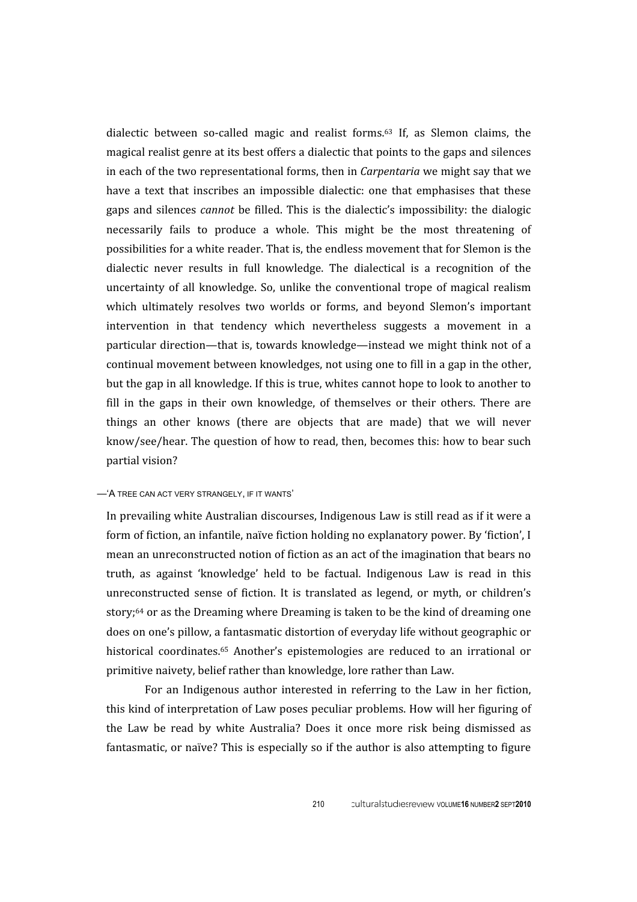dialectic between so-called magic and realist forms.<sup>63</sup> If, as Slemon claims, the magical realist genre at its best offers a dialectic that points to the gaps and silences in each of the two representational forms, then in *Carpentaria* we might say that we have a text that inscribes an impossible dialectic: one that emphasises that these gaps and silences *cannot* be filled. This is the dialectic's impossibility: the dialogic necessarily fails to produce a whole. This might be the most threatening of possibilities for a white reader. That is, the endless movement that for Slemon is the dialectic never results in full knowledge. The dialectical is a recognition of the uncertainty of all knowledge. So, unlike the conventional trope of magical realism which ultimately resolves two worlds or forms, and beyond Slemon's important intervention in that tendency which nevertheless suggests a movement in a particular direction—that is, towards knowledge—instead we might think not of a continual movement between knowledges, not using one to fill in a gap in the other, but the gap in all knowledge. If this is true, whites cannot hope to look to another to fill in the gaps in their own knowledge, of themselves or their others. There are things an other knows (there are objects that are made) that we will never know/see/hear. The question of how to read, then, becomes this: how to bear such partial vision?

## —'A TREE CAN ACT VERY STRANGELY, IF IT WANTS'

In prevailing white Australian discourses, Indigenous Law is still read as if it were a form of fiction, an infantile, naïve fiction holding no explanatory power. By 'fiction', I mean an unreconstructed notion of fiction as an act of the imagination that bears no truth, as against 'knowledge' held to be factual. Indigenous Law is read in this unreconstructed sense of fiction. It is translated as legend, or myth, or children's story;64 or as the Dreaming where Dreaming is taken to be the kind of dreaming one does on one's pillow, a fantasmatic distortion of everyday life without geographic or historical coordinates.<sup>65</sup> Another's epistemologies are reduced to an irrational or primitive naivety, belief rather than knowledge, lore rather than Law.

For an Indigenous author interested in referring to the Law in her fiction, this kind of interpretation of Law poses peculiar problems. How will her figuring of the Law be read by white Australia? Does it once more risk being dismissed as fantasmatic, or naïve? This is especially so if the author is also attempting to figure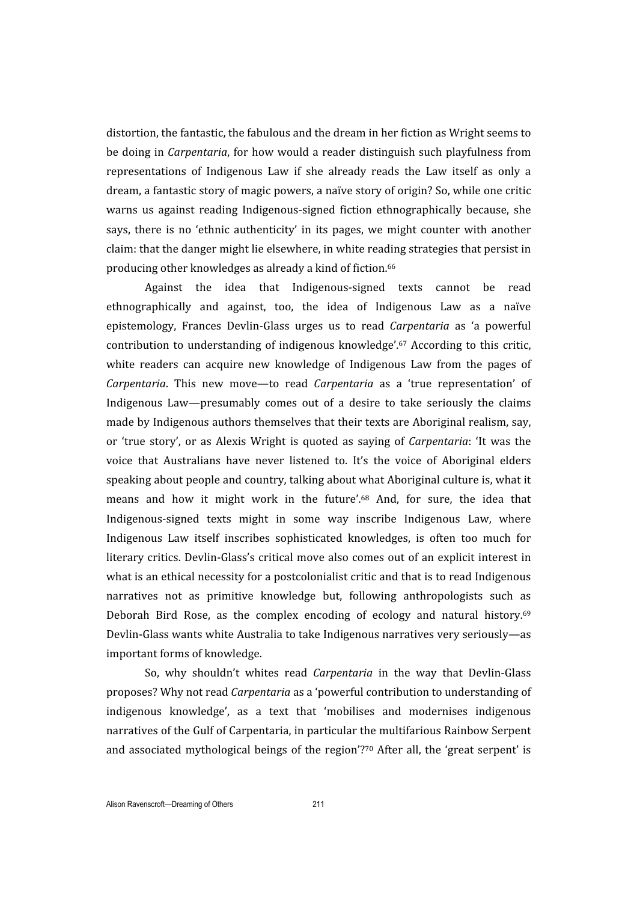distortion, the fantastic, the fabulous and the dream in her fiction as Wright seems to be doing in *Carpentaria*, for how would a reader distinguish such playfulness from representations of Indigenous Law if she already reads the Law itself as only a dream, a fantastic story of magic powers, a naïve story of origin? So, while one critic warns us against reading Indigenous-signed fiction ethnographically because, she says, there is no 'ethnic authenticity' in its pages, we might counter with another claim: that the danger might lie elsewhere, in white reading strategies that persist in producing other knowledges as already a kind of fiction.<sup>66</sup>

Against the idea that Indigenous‐signed texts cannot be read ethnographically and against, too, the idea of Indigenous Law as a naïve epistemology, Frances Devlin‐Glass urges us to read *Carpentaria* as 'a powerful contribution to understanding of indigenous knowledge'.<sup>67</sup> According to this critic, white readers can acquire new knowledge of Indigenous Law from the pages of *Carpentaria*. This new move—to read *Carpentaria* as a 'true representation' of Indigenous Law—presumably comes out of a desire to take seriously the claims made by Indigenous authors themselves that their texts are Aboriginal realism, say, or 'true story', or as Alexis Wright is quoted as saying of *Carpentaria*: 'It was the voice that Australians have never listened to. It's the voice of Aboriginal elders speaking about people and country, talking about what Aboriginal culture is, what it means and how it might work in the future'.68 And, for sure, the idea that Indigenous‐signed texts might in some way inscribe Indigenous Law, where Indigenous Law itself inscribes sophisticated knowledges, is often too much for literary critics. Devlin‐Glass's critical move also comes out of an explicit interest in what is an ethical necessity for a postcolonialist critic and that is to read Indigenous narratives not as primitive knowledge but, following anthropologists such as Deborah Bird Rose, as the complex encoding of ecology and natural history.<sup>69</sup> Devlin‐Glass wants white Australia to take Indigenous narratives very seriously—as important forms of knowledge.

So, why shouldn't whites read *Carpentaria* in the way that Devlin‐Glass proposes? Why not read *Carpentaria* as a 'powerful contribution to understanding of indigenous knowledge', as a text that 'mobilises and modernises indigenous narratives of the Gulf of Carpentaria, in particular the multifarious Rainbow Serpent and associated mythological beings of the region'?<sup>70</sup> After all, the 'great serpent' is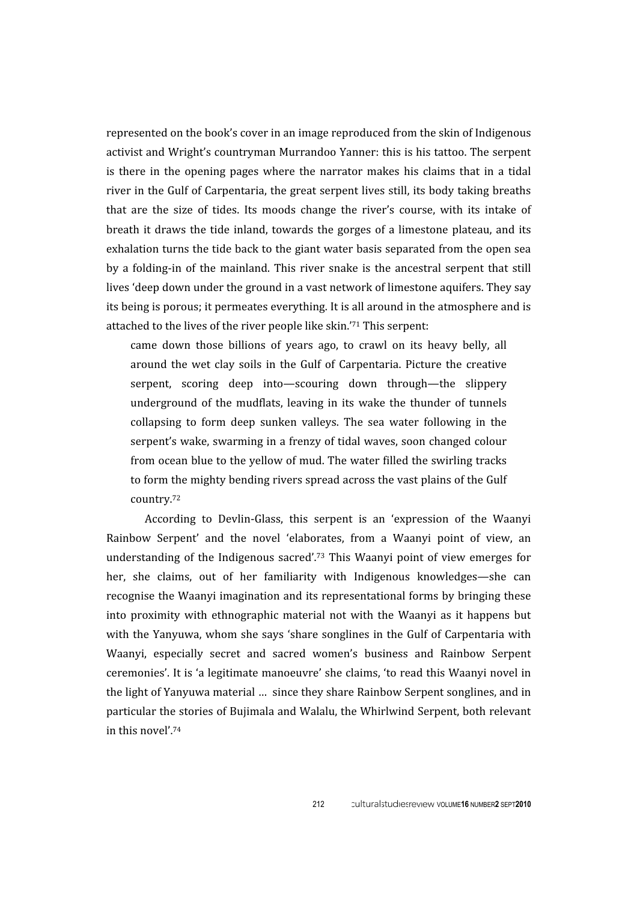represented on the book's cover in an image reproduced from the skin of Indigenous activist and Wright's countryman Murrandoo Yanner: this is his tattoo. The serpent is there in the opening pages where the narrator makes his claims that in a tidal river in the Gulf of Carpentaria, the great serpent lives still, its body taking breaths that are the size of tides. Its moods change the river's course, with its intake of breath it draws the tide inland, towards the gorges of a limestone plateau, and its exhalation turns the tide back to the giant water basis separated from the open sea by a folding-in of the mainland. This river snake is the ancestral serpent that still lives 'deep down under the ground in a vast network of limestone aquifers. They say its being is porous; it permeates everything. It is all around in the atmosphere and is attached to the lives of the river people like skin.' <sup>71</sup> This serpent:

came down those billions of years ago, to crawl on its heavy belly, all around the wet clay soils in the Gulf of Carpentaria. Picture the creative serpent, scoring deep into—scouring down through—the slippery underground of the mudflats, leaving in its wake the thunder of tunnels collapsing to form deep sunken valleys. The sea water following in the serpent's wake, swarming in a frenzy of tidal waves, soon changed colour from ocean blue to the yellow of mud. The water filled the swirling tracks to form the mighty bending rivers spread across the vast plains of the Gulf country.72

According to Devlin‐Glass, this serpent is an 'expression of the Waanyi Rainbow Serpent' and the novel 'elaborates, from a Waanyi point of view, an understanding of the Indigenous sacred'.73 This Waanyi point of view emerges for her, she claims, out of her familiarity with Indigenous knowledges—she can recognise the Waanyi imagination and its representational forms by bringing these into proximity with ethnographic material not with the Waanyi as it happens but with the Yanyuwa, whom she says 'share songlines in the Gulf of Carpentaria with Waanyi, especially secret and sacred women's business and Rainbow Serpent ceremonies'. It is 'a legitimate manoeuvre' she claims, 'to read this Waanyi novel in the light of Yanyuwa material … since they share Rainbow Serpent songlines, and in particular the stories of Bujimala and Walalu, the Whirlwind Serpent, both relevant in this novel'.74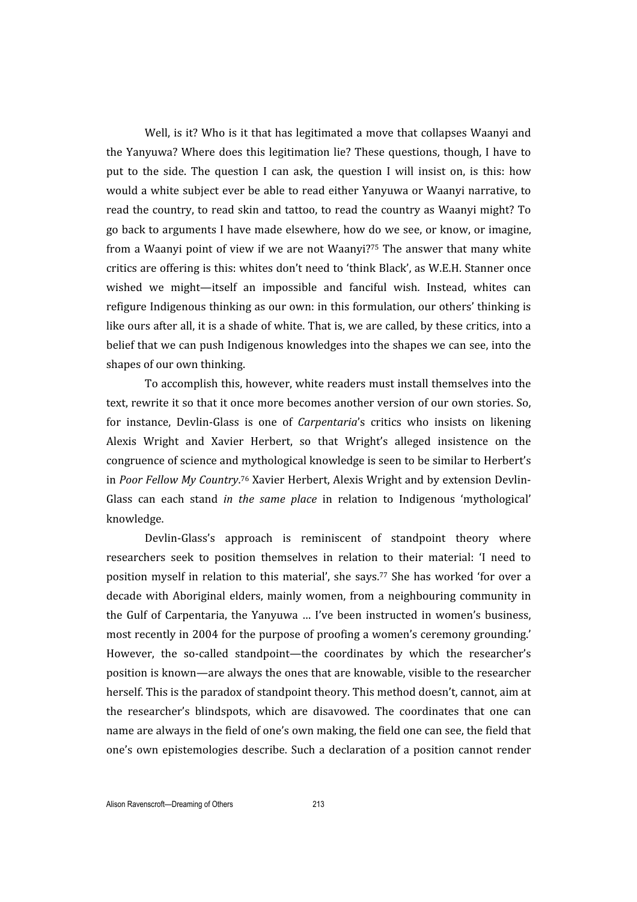Well, is it? Who is it that has legitimated a move that collapses Waanyi and the Yanyuwa? Where does this legitimation lie? These questions, though, I have to put to the side. The question I can ask, the question I will insist on, is this: how would a white subject ever be able to read either Yanyuwa or Waanyi narrative, to read the country, to read skin and tattoo, to read the country as Waanyi might? To go back to arguments I have made elsewhere, how do we see, or know, or imagine, from a Waanyi point of view if we are not Waanyi?75 The answer that many white critics are offering is this: whites don't need to 'think Black', as W.E.H. Stanner once wished we might—itself an impossible and fanciful wish. Instead, whites can refigure Indigenous thinking as our own: in this formulation, our others' thinking is like ours after all, it is a shade of white. That is, we are called, by these critics, into a belief that we can push Indigenous knowledges into the shapes we can see, into the shapes of our own thinking.

To accomplish this, however, white readers must install themselves into the text, rewrite it so that it once more becomes another version of our own stories. So, for instance, Devlin‐Glass is one of *Carpentaria*'s critics who insists on likening Alexis Wright and Xavier Herbert, so that Wright's alleged insistence on the congruence of science and mythological knowledge is seen to be similar to Herbert's in *Poor Fellow My Country*. 76 Xavier Herbert, Alexis Wright and by extension Devlin‐ Glass can each stand *in the same place* in relation to Indigenous 'mythological' knowledge.

Devlin-Glass's approach is reminiscent of standpoint theory where researchers seek to position themselves in relation to their material: 'I need to position myself in relation to this material', she says.<sup>77</sup> She has worked 'for over a decade with Aboriginal elders, mainly women, from a neighbouring community in the Gulf of Carpentaria, the Yanyuwa … I've been instructed in women's business, most recently in 2004 for the purpose of proofing a women's ceremony grounding.' However, the so-called standpoint—the coordinates by which the researcher's position is known—are always the ones that are knowable, visible to the researcher herself. This is the paradox of standpoint theory. This method doesn't, cannot, aim at the researcher's blindspots, which are disavowed. The coordinates that one can name are always in the field of one's own making, the field one can see, the field that one's own epistemologies describe. Such a declaration of a position cannot render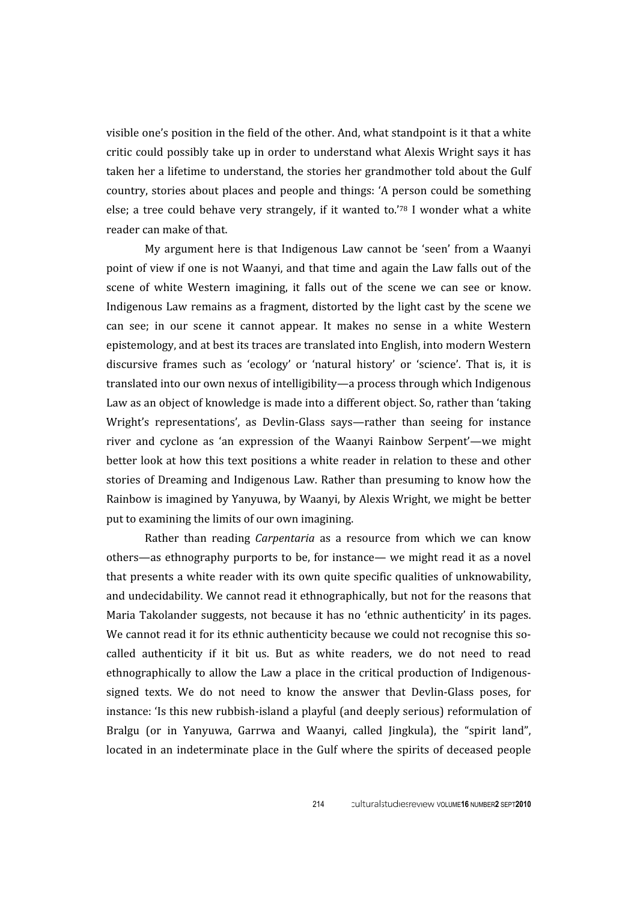visible one's position in the field of the other. And, what standpoint is it that a white critic could possibly take up in order to understand what Alexis Wright says it has taken her a lifetime to understand, the stories her grandmother told about the Gulf country, stories about places and people and things: 'A person could be something else; a tree could behave very strangely, if it wanted to.'78 I wonder what a white reader can make of that.

My argument here is that Indigenous Law cannot be 'seen' from a Waanyi point of view if one is not Waanyi, and that time and again the Law falls out of the scene of white Western imagining, it falls out of the scene we can see or know. Indigenous Law remains as a fragment, distorted by the light cast by the scene we can see; in our scene it cannot appear. It makes no sense in a white Western epistemology, and at best its traces are translated into English, into modern Western discursive frames such as 'ecology' or 'natural history' or 'science'. That is, it is translated into our own nexus of intelligibility—a process through which Indigenous Law as an object of knowledge is made into a different object. So, rather than 'taking Wright's representations', as Devlin-Glass says—rather than seeing for instance river and cyclone as 'an expression of the Waanyi Rainbow Serpent'—we might better look at how this text positions a white reader in relation to these and other stories of Dreaming and Indigenous Law. Rather than presuming to know how the Rainbow is imagined by Yanyuwa, by Waanyi, by Alexis Wright, we might be better put to examining the limits of our own imagining.

Rather than reading *Carpentaria* as a resource from which we can know others—as ethnography purports to be, for instance— we might read it as a novel that presents a white reader with its own quite specific qualities of unknowability, and undecidability. We cannot read it ethnographically, but not for the reasons that Maria Takolander suggests, not because it has no 'ethnic authenticity' in its pages. We cannot read it for its ethnic authenticity because we could not recognise this socalled authenticity if it bit us. But as white readers, we do not need to read ethnographically to allow the Law a place in the critical production of Indigenoussigned texts. We do not need to know the answer that Devlin‐Glass poses, for instance: 'Is this new rubbish‐island a playful (and deeply serious) reformulation of Bralgu (or in Yanyuwa, Garrwa and Waanyi, called Jingkula), the "spirit land", located in an indeterminate place in the Gulf where the spirits of deceased people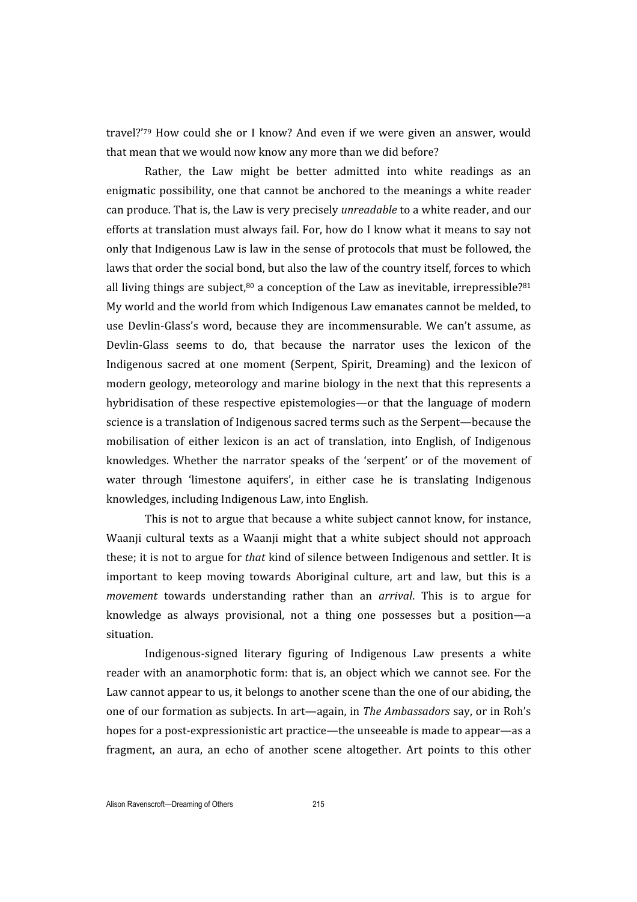travel?'79 How could she or I know? And even if we were given an answer, would that mean that we would now know any more than we did before?

Rather, the Law might be better admitted into white readings as an enigmatic possibility, one that cannot be anchored to the meanings a white reader can produce. That is, the Law is very precisely *unreadable* to a white reader, and our efforts at translation must always fail. For, how do I know what it means to say not only that Indigenous Law is law in the sense of protocols that must be followed, the laws that order the social bond, but also the law of the country itself, forces to which all living things are subject,  $80$  a conception of the Law as inevitable, irrepressible? $81$ My world and the world from which Indigenous Law emanates cannot be melded, to use Devlin-Glass's word, because they are incommensurable. We can't assume, as Devlin‐Glass seems to do, that because the narrator uses the lexicon of the Indigenous sacred at one moment (Serpent, Spirit, Dreaming) and the lexicon of modern geology, meteorology and marine biology in the next that this represents a hybridisation of these respective epistemologies—or that the language of modern science is a translation of Indigenous sacred terms such as the Serpent—because the mobilisation of either lexicon is an act of translation, into English, of Indigenous knowledges. Whether the narrator speaks of the 'serpent' or of the movement of water through 'limestone aquifers', in either case he is translating Indigenous knowledges, including Indigenous Law, into English.

This is not to argue that because a white subject cannot know, for instance, Waanji cultural texts as a Waanji might that a white subject should not approach these; it is not to argue for *that* kind of silence between Indigenous and settler. It is important to keep moving towards Aboriginal culture, art and law, but this is a *movement* towards understanding rather than an *arrival*. This is to argue for knowledge as always provisional, not a thing one possesses but a position—a situation.

Indigenous‐signed literary figuring of Indigenous Law presents a white reader with an anamorphotic form: that is, an object which we cannot see. For the Law cannot appear to us, it belongs to another scene than the one of our abiding, the one of our formation as subjects. In art—again, in *The Ambassadors* say, or in Roh's hopes for a post-expressionistic art practice—the unseeable is made to appear—as a fragment, an aura, an echo of another scene altogether. Art points to this other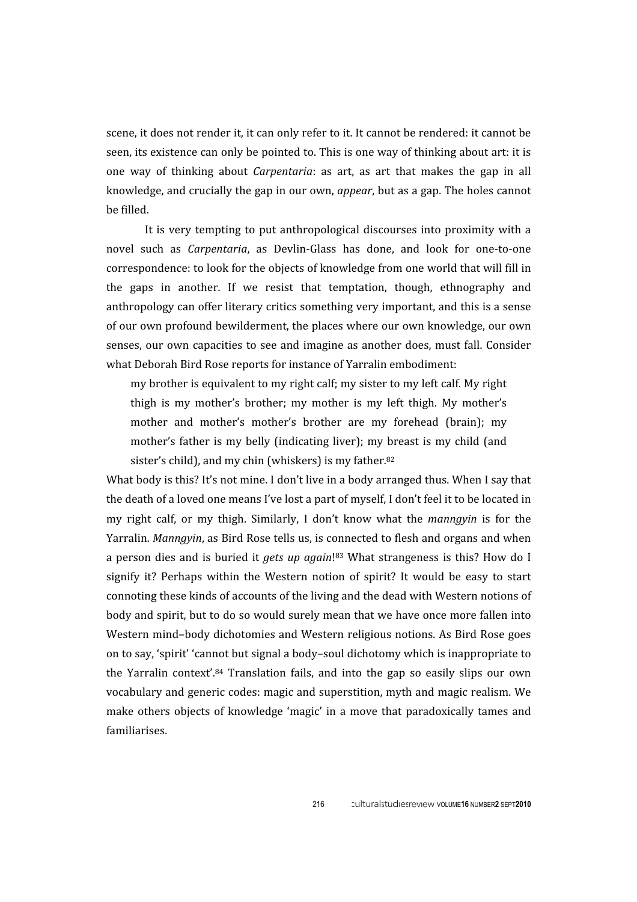scene, it does not render it, it can only refer to it. It cannot be rendered: it cannot be seen, its existence can only be pointed to. This is one way of thinking about art: it is one way of thinking about *Carpentaria*: as art, as art that makes the gap in all knowledge, and crucially the gap in our own, *appear*, but as a gap. The holes cannot be filled.

It is very tempting to put anthropological discourses into proximity with a novel such as *Carpentaria*, as Devlin-Glass has done, and look for one-to-one correspondence: to look for the objects of knowledge from one world that will fill in the gaps in another. If we resist that temptation, though, ethnography and anthropology can offer literary critics something very important, and this is a sense of our own profound bewilderment, the places where our own knowledge, our own senses, our own capacities to see and imagine as another does, must fall. Consider what Deborah Bird Rose reports for instance of Yarralin embodiment:

my brother is equivalent to my right calf; my sister to my left calf. My right thigh is my mother's brother; my mother is my left thigh. My mother's mother and mother's mother's brother are my forehead (brain); my mother's father is my belly (indicating liver); my breast is my child (and sister's child), and my chin (whiskers) is my father.<sup>82</sup>

What body is this? It's not mine. I don't live in a body arranged thus. When I say that the death of a loved one means I've lost a part of myself, I don't feel it to be located in my right calf, or my thigh. Similarly, I don't know what the *manngyin* is for the Yarralin. *Manngyin*, as Bird Rose tells us, is connected to flesh and organs and when a person dies and is buried it *gets up again*!83 What strangeness is this? How do I signify it? Perhaps within the Western notion of spirit? It would be easy to start connoting these kinds of accounts of the living and the dead with Western notions of body and spirit, but to do so would surely mean that we have once more fallen into Western mind–body dichotomies and Western religious notions. As Bird Rose goes on to say, 'spirit' 'cannot but signal a body–soul dichotomy which is inappropriate to the Yarralin context'.<sup>84</sup> Translation fails, and into the gap so easily slips our own vocabulary and generic codes: magic and superstition, myth and magic realism. We make others objects of knowledge 'magic' in a move that paradoxically tames and familiarises.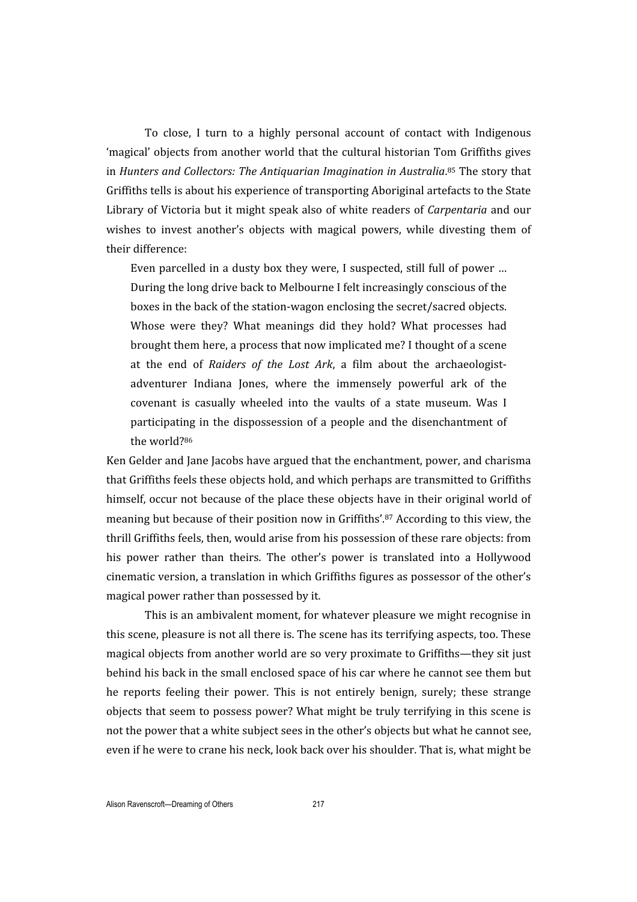To close, I turn to a highly personal account of contact with Indigenous 'magical' objects from another world that the cultural historian Tom Griffiths gives in *Hunters and Collectors: The Antiquarian Imagination in Australia*. 85 The story that Griffiths tells is about his experience of transporting Aboriginal artefacts to the State Library of Victoria but it might speak also of white readers of *Carpentaria* and our wishes to invest another's objects with magical powers, while divesting them of their difference:

Even parcelled in a dusty box they were, I suspected, still full of power … During the long drive back to Melbourne I felt increasingly conscious of the boxes in the back of the station‐wagon enclosing the secret/sacred objects. Whose were they? What meanings did they hold? What processes had brought them here, a process that now implicated me? I thought of a scene at the end of *Raiders of the Lost Ark*, a film about the archaeologist‐ adventurer Indiana Jones, where the immensely powerful ark of the covenant is casually wheeled into the vaults of a state museum. Was I participating in the dispossession of a people and the disenchantment of the world?<sup>86</sup>

Ken Gelder and Jane Jacobs have argued that the enchantment, power, and charisma that Griffiths feels these objects hold, and which perhaps are transmitted to Griffiths himself, occur not because of the place these objects have in their original world of meaning but because of their position now in Griffiths'.87 According to this view, the thrill Griffiths feels, then, would arise from his possession of these rare objects: from his power rather than theirs. The other's power is translated into a Hollywood cinematic version, a translation in which Griffiths figures as possessor of the other's magical power rather than possessed by it.

This is an ambivalent moment, for whatever pleasure we might recognise in this scene, pleasure is not all there is. The scene has its terrifying aspects, too. These magical objects from another world are so very proximate to Griffiths—they sit just behind his back in the small enclosed space of his car where he cannot see them but he reports feeling their power. This is not entirely benign, surely; these strange objects that seem to possess power? What might be truly terrifying in this scene is not the power that a white subject sees in the other's objects but what he cannot see, even if he were to crane his neck, look back over his shoulder. That is, what might be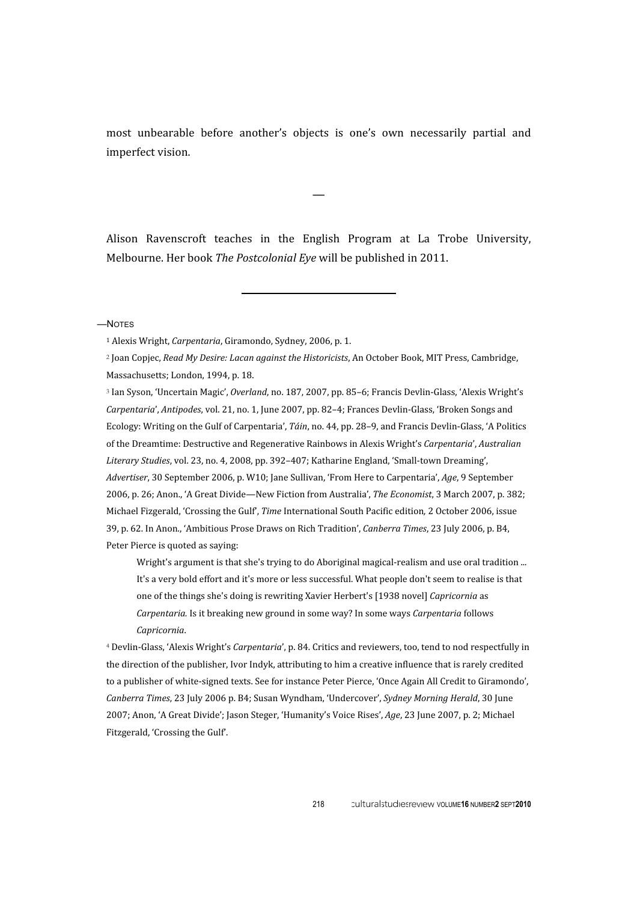most unbearable before another's objects is one's own necessarily partial and imperfect vision.

—

Alison Ravenscroft teaches in the English Program at La Trobe University, Melbourne. Her book *The Postcolonial Eye* will be published in 2011.

<u> 1989 - Jan Samuel Barbara, político establecido de la provincia de la provincia de la provincia de la provinci</u>

—NOTES

Wright's argument is that she's trying to do Aboriginal magical-realism and use oral tradition ... It's a very bold effort and it's more or less successful. What people don't seem to realise is that one of the things she's doing is rewriting Xavier Herbert's [1938 novel] *Capricornia* as *Carpentaria.* Is it breaking new ground in some way? In some ways *Carpentaria* follows *Capricornia*.

<sup>4</sup> Devlin‐Glass, 'Alexis Wright's *Carpentaria*', p. 84. Critics and reviewers, too, tend to nod respectfully in the direction of the publisher, Ivor Indyk, attributing to him a creative influence that is rarely credited to a publisher of white‐signed texts. See for instance Peter Pierce, 'Once Again All Credit to Giramondo', *Canberra Times*, 23 July 2006 p. B4; Susan Wyndham, 'Undercover', *Sydney Morning Herald*, 30 June 2007; Anon, 'A Great Divide'; Jason Steger, 'Humanity's Voice Rises', *Age*, 23 June 2007, p. 2; Michael Fitzgerald, 'Crossing the Gulf'.

<sup>1</sup> Alexis Wright, *Carpentaria*, Giramondo, Sydney, 2006, p. 1.

<sup>2</sup> Joan Copjec, *Read My Desire: Lacan against the Historicists*, An October Book, MIT Press, Cambridge, Massachusetts; London, 1994, p. 18.

<sup>3</sup> Ian Syson, 'Uncertain Magic', *Overland*, no. 187, 2007, pp. 85–6; Francis Devlin‐Glass, 'Alexis Wright's *Carpentaria*', *Antipodes*, vol. 21, no. 1, June 2007, pp. 82–4; Frances Devlin‐Glass, 'Broken Songs and Ecology: Writing on the Gulf of Carpentaria', *Táin*, no. 44, pp. 28–9, and Francis Devlin‐Glass, 'A Politics of the Dreamtime: Destructive and Regenerative Rainbows in Alexis Wright's *Carpentaria*', *Australian Literary Studies*, vol. 23, no. 4, 2008, pp. 392–407; Katharine England, 'Small‐town Dreaming', *Advertiser*, 30 September 2006, p. W10; Jane Sullivan, 'From Here to Carpentaria', *Age*, 9 September 2006, p. 26; Anon., 'A Great Divide—New Fiction from Australia', *The Economist*, 3 March 2007, p. 382; Michael Fizgerald, 'Crossing the Gulf', *Time* International South Pacific edition*,* 2 October 2006, issue 39, p. 62. In Anon., 'Ambitious Prose Draws on Rich Tradition', *Canberra Times*, 23 July 2006, p. B4, Peter Pierce is quoted as saying: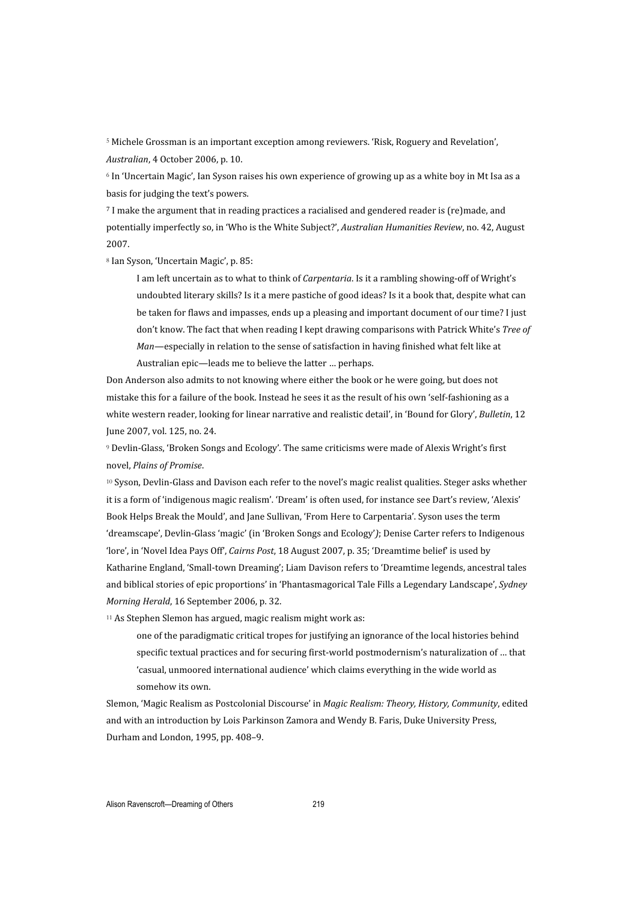<sup>5</sup> Michele Grossman is an important exception among reviewers. 'Risk, Roguery and Revelation', *Australian*, 4 October 2006, p. 10.

<sup>6</sup> In 'Uncertain Magic', Ian Syson raises his own experience of growing up as a white boy in Mt Isa as a basis for judging the text's powers.

7 I make the argument that in reading practices a racialised and gendered reader is (re)made, and potentially imperfectly so, in 'Who is the White Subject?', *Australian Humanities Review*, no. 42, August 2007.

<sup>8</sup> Ian Syson, 'Uncertain Magic', p. 85:

I am left uncertain as to what to think of *Carpentaria*. Is it a rambling showing‐off of Wright's undoubted literary skills? Is it a mere pastiche of good ideas? Is it a book that, despite what can be taken for flaws and impasses, ends up a pleasing and important document of our time? I just don't know. The fact that when reading I kept drawing comparisons with Patrick White's *Tree of Man*—especially in relation to the sense of satisfaction in having finished what felt like at Australian epic—leads me to believe the latter … perhaps.

Don Anderson also admits to not knowing where either the book or he were going, but does not mistake this for a failure of the book. Instead he sees it as the result of his own 'self‐fashioning as a white western reader, looking for linear narrative and realistic detail', in 'Bound for Glory', *Bulletin*, 12 June 2007, vol. 125, no. 24.

<sup>9</sup> Devlin‐Glass, 'Broken Songs and Ecology'*.* The same criticisms were made of Alexis Wright's first novel, *Plains of Promise*.

<sup>10</sup> Syson, Devlin‐Glass and Davison each refer to the novel's magic realist qualities. Steger asks whether it is a form of 'indigenous magic realism'. 'Dream' is often used, for instance see Dart's review, 'Alexis' Book Helps Break the Mould', and Jane Sullivan, 'From Here to Carpentaria'. Syson uses the term 'dreamscape', Devlin‐Glass 'magic' (in 'Broken Songs and Ecology'*)*; Denise Carter refers to Indigenous 'lore', in 'Novel Idea Pays Off', *Cairns Post*, 18 August 2007, p. 35; 'Dreamtime belief' is used by Katharine England, 'Small‐town Dreaming'; Liam Davison refers to 'Dreamtime legends, ancestral tales and biblical stories of epic proportions' in 'Phantasmagorical Tale Fills a Legendary Landscape', *Sydney Morning Herald*, 16 September 2006, p. 32.

<sup>11</sup> As Stephen Slemon has argued, magic realism might work as:

one of the paradigmatic critical tropes for justifying an ignorance of the local histories behind specific textual practices and for securing first-world postmodernism's naturalization of ... that 'casual, unmoored international audience' which claims everything in the wide world as somehow its own.

Slemon, 'Magic Realism as Postcolonial Discourse' in *Magic Realism: Theory, History, Community*, edited and with an introduction by Lois Parkinson Zamora and Wendy B. Faris, Duke University Press, Durham and London, 1995, pp. 408–9.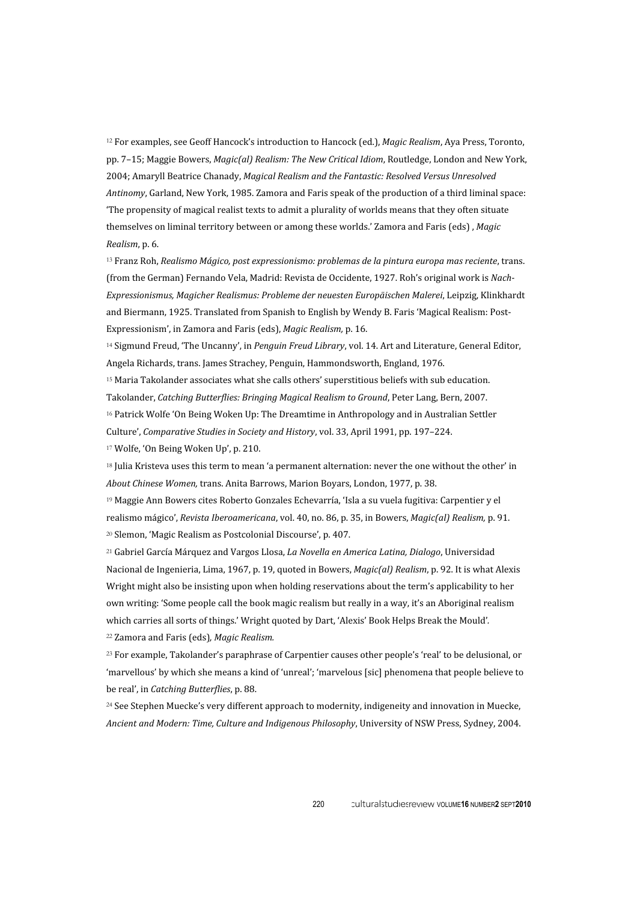<sup>12</sup> For examples, see Geoff Hancock's introduction to Hancock (ed.), *Magic Realism*, Aya Press, Toronto, pp. 7–15; Maggie Bowers, *Magic(al) Realism: The New Critical Idiom*, Routledge, London and New York, 2004; Amaryll Beatrice Chanady, *Magical Realism and the Fantastic: Resolved Versus Unresolved Antinomy*, Garland, New York, 1985. Zamora and Faris speak of the production of a third liminal space: 'The propensity of magical realist texts to admit a plurality of worlds means that they often situate themselves on liminal territory between or among these worlds.' Zamora and Faris (eds) , *Magic Realism*, p. 6.

<sup>13</sup> Franz Roh, *Realismo Mágico, post expressionismo: problemas de la pintura europa mas reciente*, trans. (from the German) Fernando Vela, Madrid: Revista de Occidente, 1927. Roh's original work is *Nach-Expressionismus, Magicher Realismus: Probleme der neuesten Europäischen Malerei*, Leipzig, Klinkhardt and Biermann, 1925. Translated from Spanish to English by Wendy B. Faris 'Magical Realism: Post-Expressionism', in Zamora and Faris (eds), *Magic Realism,* p. 16.

<sup>14</sup> Sigmund Freud, 'The Uncanny', in *Penguin Freud Library*, vol. 14. Art and Literature, General Editor, Angela Richards, trans. James Strachey, Penguin, Hammondsworth, England, 1976.

<sup>15</sup> Maria Takolander associates what she calls others' superstitious beliefs with sub education.

Takolander, *Catching Butterflies: Bringing Magical Realism to Ground*, Peter Lang, Bern, 2007.

<sup>16</sup> Patrick Wolfe 'On Being Woken Up: The Dreamtime in Anthropology and in Australian Settler

Culture', *Comparative Studies in Society and History*, vol. 33, April 1991, pp. 197–224.

<sup>17</sup> Wolfe, 'On Being Woken Up', p. 210.

<sup>18</sup> Julia Kristeva uses this term to mean 'a permanent alternation: never the one without the other' in *About Chinese Women,* trans. Anita Barrows, Marion Boyars, London, 1977, p. 38.

<sup>19</sup> Maggie Ann Bowers cites Roberto Gonzales Echevarría, 'Isla a su vuela fugitiva: Carpentier y el realismo mágico', *Revista Iberoamericana*, vol. 40, no. 86, p. 35, in Bowers, *Magic(al) Realism,* p. 91. <sup>20</sup> Slemon, 'Magic Realism as Postcolonial Discourse', p. 407.

<sup>21</sup> Gabriel García Márquez and Vargos Llosa, *La Novella en America Latina, Dialogo*, Universidad Nacional de Ingenieria, Lima, 1967, p. 19, quoted in Bowers, *Magic(al) Realism*, p. 92. It is what Alexis Wright might also be insisting upon when holding reservations about the term's applicability to her own writing: 'Some people call the book magic realism but really in a way, it's an Aboriginal realism which carries all sorts of things.' Wright quoted by Dart, 'Alexis' Book Helps Break the Mould'*.* <sup>22</sup> Zamora and Faris (eds)*, Magic Realism.*

<sup>23</sup> For example, Takolander's paraphrase of Carpentier causes other people's 'real' to be delusional, or 'marvellous' by which she means a kind of 'unreal'; 'marvelous [sic] phenomena that people believe to be real', in *Catching Butterflies*, p. 88.

<sup>24</sup> See Stephen Muecke's very different approach to modernity, indigeneity and innovation in Muecke, *Ancient and Modern: Time, Culture and Indigenous Philosophy*, University of NSW Press, Sydney, 2004.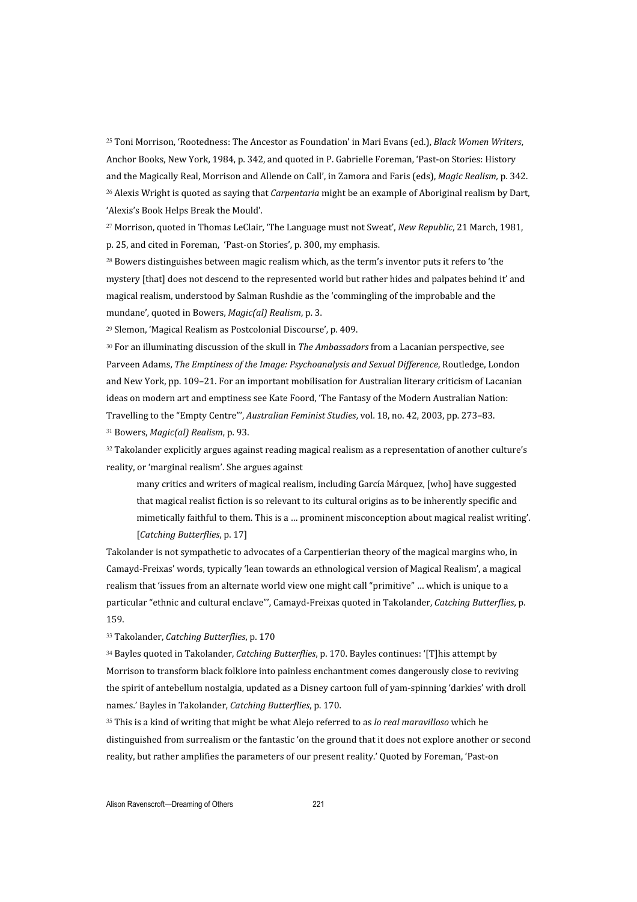<sup>25</sup> Toni Morrison, 'Rootedness: The Ancestor as Foundation' in Mari Evans (ed.), *Black Women Writers*, Anchor Books, New York, 1984, p. 342, and quoted in P. Gabrielle Foreman, 'Past‐on Stories: History and the Magically Real, Morrison and Allende on Call', in Zamora and Faris (eds), *Magic Realism,* p. 342. <sup>26</sup> Alexis Wright is quoted as saying that *Carpentaria* might be an example of Aboriginal realism by Dart, 'Alexis's Book Helps Break the Mould'.

<sup>27</sup> Morrison, quoted in Thomas LeClair, 'The Language must not Sweat', *New Republic*, 21 March, 1981, p. 25, and cited in Foreman, 'Past‐on Stories', p. 300, my emphasis.

<sup>28</sup> Bowers distinguishes between magic realism which, as the term's inventor puts it refers to 'the mystery [that] does not descend to the represented world but rather hides and palpates behind it' and magical realism, understood by Salman Rushdie as the 'commingling of the improbable and the mundane', quoted in Bowers, *Magic(al) Realism*, p. 3.

<sup>29</sup> Slemon, 'Magical Realism as Postcolonial Discourse', p. 409.

<sup>30</sup> For an illuminating discussion of the skull in *The Ambassadors* from a Lacanian perspective, see Parveen Adams, *The Emptiness of the Image: Psychoanalysis and Sexual Difference*, Routledge, London and New York, pp. 109–21. For an important mobilisation for Australian literary criticism of Lacanian ideas on modern art and emptiness see Kate Foord, 'The Fantasy of the Modern Australian Nation: Travelling to the "Empty Centre"', *Australian Feminist Studies*, vol. 18, no. 42, 2003, pp. 273–83. <sup>31</sup> Bowers, *Magic(al) Realism*, p. 93.

<sup>32</sup> Takolander explicitly argues against reading magical realism as a representation of another culture's reality, or 'marginal realism'. She argues against

many critics and writers of magical realism, including García Márquez, [who] have suggested that magical realist fiction is so relevant to its cultural origins as to be inherently specific and mimetically faithful to them. This is a … prominent misconception about magical realist writing'. [*Catching Butterflies*, p. 17]

Takolander is not sympathetic to advocates of a Carpentierian theory of the magical margins who, in Camayd‐Freixas' words, typically 'lean towards an ethnological version of Magical Realism', a magical realism that 'issues from an alternate world view one might call "primitive" … which is unique to a particular "ethnic and cultural enclave"', Camayd‐Freixas quoted in Takolander, *Catching Butterflies*, p. 159.

<sup>33</sup> Takolander, *Catching Butterflies*, p. 170

<sup>34</sup> Bayles quoted in Takolander, *Catching Butterflies*, p. 170. Bayles continues: '[T]his attempt by Morrison to transform black folklore into painless enchantment comes dangerously close to reviving the spirit of antebellum nostalgia, updated as a Disney cartoon full of yam‐spinning 'darkies' with droll names.' Bayles in Takolander, *Catching Butterflies*, p. 170.

<sup>35</sup> This is a kind of writing that might be what Alejo referred to as *lo real maravilloso* which he distinguished from surrealism or the fantastic 'on the ground that it does not explore another or second reality, but rather amplifies the parameters of our present reality.' Quoted by Foreman, 'Past‐on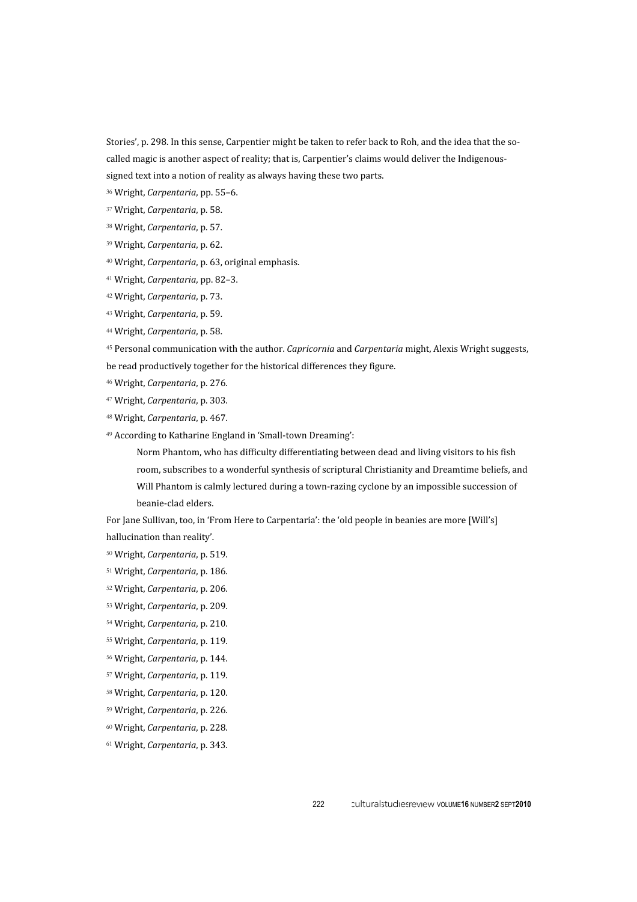Stories', p. 298. In this sense, Carpentier might be taken to refer back to Roh, and the idea that the so‐ called magic is another aspect of reality; that is, Carpentier's claims would deliver the Indigenoussigned text into a notion of reality as always having these two parts.

Wright, *Carpentaria*, pp. 55–6.

- Wright, *Carpentaria*, p. 58.
- Wright, *Carpentaria*, p. 57.
- Wright, *Carpentaria*, p. 62.
- Wright, *Carpentaria*, p. 63, original emphasis.
- Wright, *Carpentaria*, pp. 82–3.
- Wright, *Carpentaria*, p. 73.
- Wright, *Carpentaria*, p. 59.
- Wright, *Carpentaria*, p. 58.
- Personal communication with the author. *Capricornia* and *Carpentaria* might, Alexis Wright suggests, be read productively together for the historical differences they figure.
- Wright, *Carpentaria*, p. 276.
- Wright, *Carpentaria*, p. 303.
- Wright, *Carpentaria*, p. 467.
- According to Katharine England in 'Small‐town Dreaming':
	- Norm Phantom, who has difficulty differentiating between dead and living visitors to his fish room, subscribes to a wonderful synthesis of scriptural Christianity and Dreamtime beliefs, and Will Phantom is calmly lectured during a town-razing cyclone by an impossible succession of beanie‐clad elders.

For Jane Sullivan, too, in 'From Here to Carpentaria': the 'old people in beanies are more [Will's] hallucination than reality'.

- Wright, *Carpentaria*, p. 519.
- Wright, *Carpentaria*, p. 186.
- Wright, *Carpentaria*, p. 206.
- Wright, *Carpentaria*, p. 209.
- Wright, *Carpentaria*, p. 210.
- Wright, *Carpentaria*, p. 119.
- Wright, *Carpentaria*, p. 144.
- Wright, *Carpentaria*, p. 119.
- Wright, *Carpentaria*, p. 120.
- Wright, *Carpentaria*, p. 226.
- Wright, *Carpentaria*, p. 228.
- Wright, *Carpentaria*, p. 343.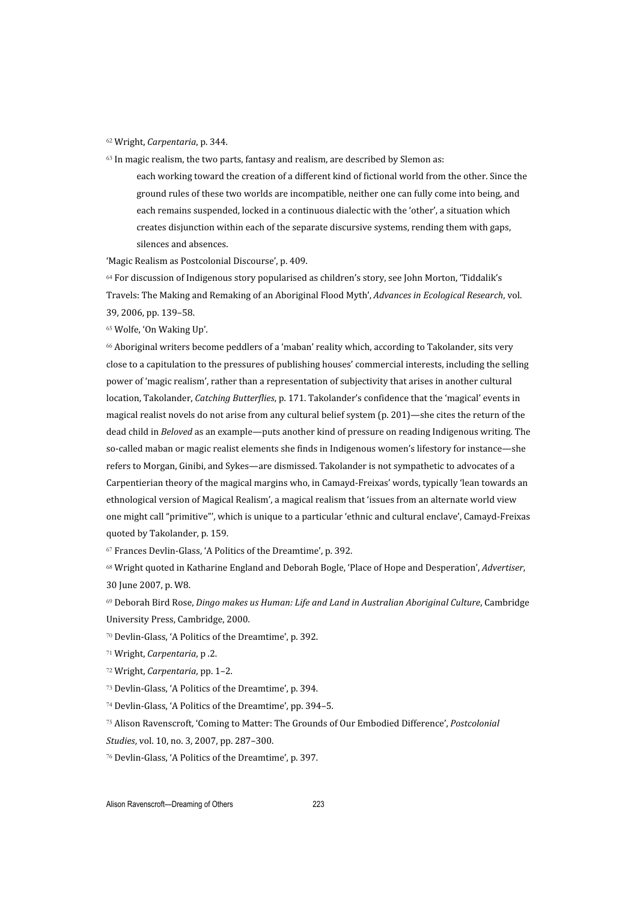<sup>62</sup> Wright, *Carpentaria*, p. 344.

<sup>63</sup> In magic realism, the two parts, fantasy and realism, are described by Slemon as:

each working toward the creation of a different kind of fictional world from the other. Since the ground rules of these two worlds are incompatible, neither one can fully come into being, and each remains suspended, locked in a continuous dialectic with the 'other', a situation which creates disjunction within each of the separate discursive systems, rending them with gaps, silences and absences.

'Magic Realism as Postcolonial Discourse', p. 409.

<sup>64</sup> For discussion of Indigenous story popularised as children's story, see John Morton, 'Tiddalik's Travels: The Making and Remaking of an Aboriginal Flood Myth', *Advances in Ecological Research*, vol. 39, 2006, pp. 139–58.

<sup>65</sup> Wolfe, 'On Waking Up'.

<sup>66</sup> Aboriginal writers become peddlers of a 'maban' reality which, according to Takolander, sits very close to a capitulation to the pressures of publishing houses' commercial interests, including the selling power of 'magic realism', rather than a representation of subjectivity that arises in another cultural location, Takolander, *Catching Butterflies*, p. 171. Takolander's confidence that the 'magical' events in magical realist novels do not arise from any cultural belief system (p. 201)—she cites the return of the dead child in *Beloved* as an example—puts another kind of pressure on reading Indigenous writing. The so-called maban or magic realist elements she finds in Indigenous women's lifestory for instance—she refers to Morgan, Ginibi, and Sykes—are dismissed. Takolander is not sympathetic to advocates of a Carpentierian theory of the magical margins who, in Camayd‐Freixas' words, typically 'lean towards an ethnological version of Magical Realism', a magical realism that 'issues from an alternate world view one might call "primitive"', which is unique to a particular 'ethnic and cultural enclave', Camayd‐Freixas quoted by Takolander, p. 159.

<sup>67</sup> Frances Devlin‐Glass, 'A Politics of the Dreamtime', p. 392.

<sup>68</sup> Wright quoted in Katharine England and Deborah Bogle, 'Place of Hope and Desperation', *Advertiser*, 30 June 2007, p. W8.

<sup>69</sup> Deborah Bird Rose, *Dingo makes us Human: Life and Land in Australian Aboriginal Culture*, Cambridge University Press, Cambridge, 2000.

<sup>70</sup> Devlin‐Glass, 'A Politics of the Dreamtime', p. 392.

<sup>71</sup> Wright, *Carpentaria*, p .2.

<sup>72</sup> Wright, *Carpentaria*, pp. 1–2.

<sup>73</sup> Devlin‐Glass, 'A Politics of the Dreamtime', p. 394.

<sup>74</sup> Devlin‐Glass, 'A Politics of the Dreamtime', pp. 394–5.

<sup>75</sup> Alison Ravenscroft, 'Coming to Matter: The Grounds of Our Embodied Difference', *Postcolonial Studies*, vol. 10, no. 3, 2007, pp. 287–300.

<sup>76</sup> Devlin‐Glass, 'A Politics of the Dreamtime', p. 397.